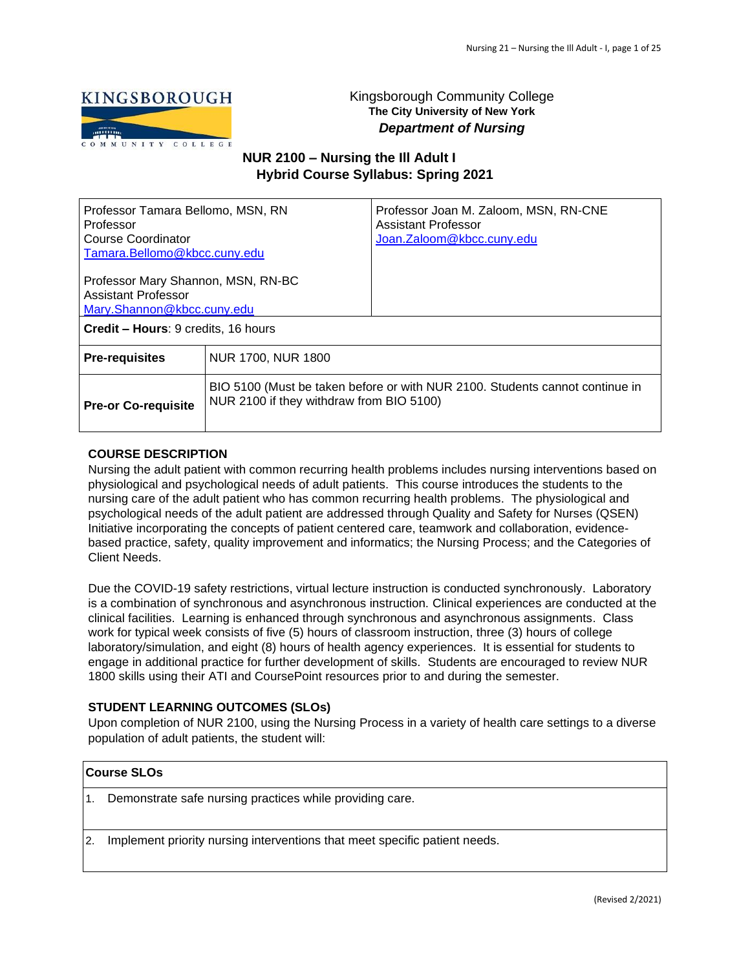

# Kingsborough Community College **The City University of New York**  *Department of Nursing*

# **NUR 2100 – Nursing the Ill Adult I Hybrid Course Syllabus: Spring 2021**

| Professor Tamara Bellomo, MSN, RN<br>Professor<br>Course Coordinator<br>Tamara.Bellomo@kbcc.cuny.edu |                                            | Professor Joan M. Zaloom, MSN, RN-CNE<br>Assistant Professor<br>Joan.Zaloom@kbcc.cuny.edu |
|------------------------------------------------------------------------------------------------------|--------------------------------------------|-------------------------------------------------------------------------------------------|
| Professor Mary Shannon, MSN, RN-BC<br><b>Assistant Professor</b><br>Mary.Shannon@kbcc.cuny.edu       |                                            |                                                                                           |
|                                                                                                      | <b>Credit – Hours: 9 credits, 16 hours</b> |                                                                                           |
| <b>Pre-requisites</b>                                                                                | NUR 1700, NUR 1800                         |                                                                                           |
| <b>Pre-or Co-requisite</b>                                                                           | NUR 2100 if they withdraw from BIO 5100)   | BIO 5100 (Must be taken before or with NUR 2100. Students cannot continue in              |

# **COURSE DESCRIPTION**

Nursing the adult patient with common recurring health problems includes nursing interventions based on physiological and psychological needs of adult patients. This course introduces the students to the nursing care of the adult patient who has common recurring health problems. The physiological and psychological needs of the adult patient are addressed through Quality and Safety for Nurses (QSEN) Initiative incorporating the concepts of patient centered care, teamwork and collaboration, evidencebased practice, safety, quality improvement and informatics; the Nursing Process; and the Categories of Client Needs.

Due the COVID-19 safety restrictions, virtual lecture instruction is conducted synchronously. Laboratory is a combination of synchronous and asynchronous instruction. Clinical experiences are conducted at the clinical facilities. Learning is enhanced through synchronous and asynchronous assignments. Class work for typical week consists of five (5) hours of classroom instruction, three (3) hours of college laboratory/simulation, and eight (8) hours of health agency experiences. It is essential for students to engage in additional practice for further development of skills. Students are encouraged to review NUR 1800 skills using their ATI and CoursePoint resources prior to and during the semester.

# **STUDENT LEARNING OUTCOMES (SLOs)**

Upon completion of NUR 2100, using the Nursing Process in a variety of health care settings to a diverse population of adult patients, the student will:

# **Course SLOs**

1. Demonstrate safe nursing practices while providing care.

2. Implement priority nursing interventions that meet specific patient needs.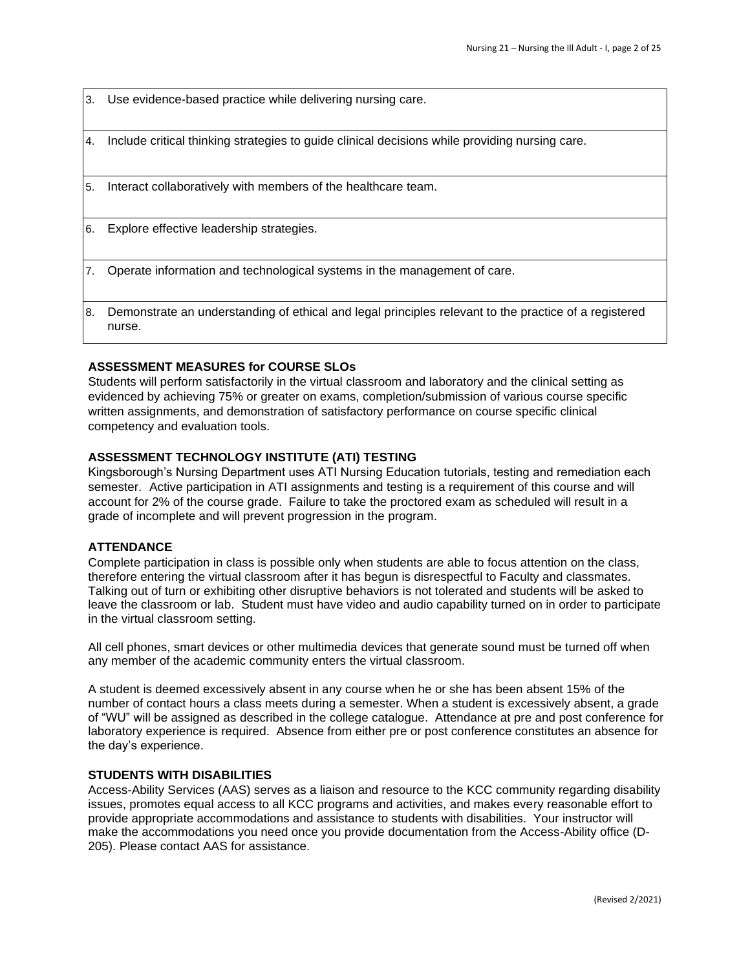3. Use evidence-based practice while delivering nursing care.

4. Include critical thinking strategies to guide clinical decisions while providing nursing care.

5. Interact collaboratively with members of the healthcare team.

6. Explore effective leadership strategies.

7. Operate information and technological systems in the management of care.

8. Demonstrate an understanding of ethical and legal principles relevant to the practice of a registered nurse.

# **ASSESSMENT MEASURES for COURSE SLOs**

Students will perform satisfactorily in the virtual classroom and laboratory and the clinical setting as evidenced by achieving 75% or greater on exams, completion/submission of various course specific written assignments, and demonstration of satisfactory performance on course specific clinical competency and evaluation tools.

# **ASSESSMENT TECHNOLOGY INSTITUTE (ATI) TESTING**

Kingsborough's Nursing Department uses ATI Nursing Education tutorials, testing and remediation each semester. Active participation in ATI assignments and testing is a requirement of this course and will account for 2% of the course grade. Failure to take the proctored exam as scheduled will result in a grade of incomplete and will prevent progression in the program.

# **ATTENDANCE**

Complete participation in class is possible only when students are able to focus attention on the class, therefore entering the virtual classroom after it has begun is disrespectful to Faculty and classmates. Talking out of turn or exhibiting other disruptive behaviors is not tolerated and students will be asked to leave the classroom or lab. Student must have video and audio capability turned on in order to participate in the virtual classroom setting.

All cell phones, smart devices or other multimedia devices that generate sound must be turned off when any member of the academic community enters the virtual classroom.

A student is deemed excessively absent in any course when he or she has been absent 15% of the number of contact hours a class meets during a semester. When a student is excessively absent, a grade of "WU" will be assigned as described in the college catalogue. Attendance at pre and post conference for laboratory experience is required. Absence from either pre or post conference constitutes an absence for the day's experience.

# **STUDENTS WITH DISABILITIES**

Access-Ability Services (AAS) serves as a liaison and resource to the KCC community regarding disability issues, promotes equal access to all KCC programs and activities, and makes every reasonable effort to provide appropriate accommodations and assistance to students with disabilities. Your instructor will make the accommodations you need once you provide documentation from the Access-Ability office (D-205). Please contact AAS for assistance.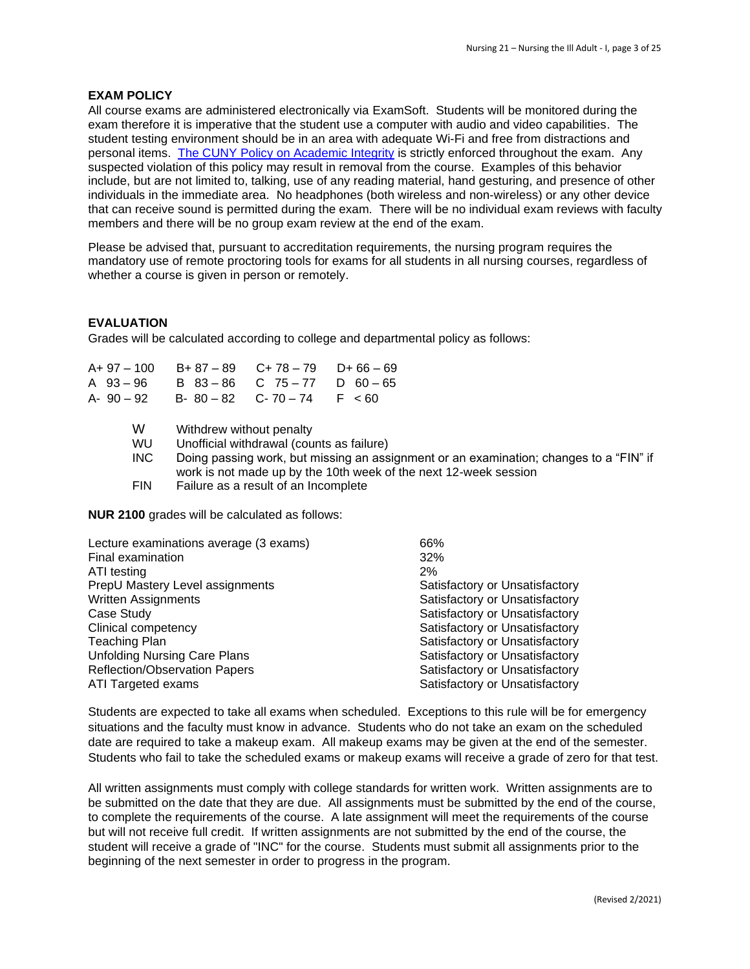# **EXAM POLICY**

All course exams are administered electronically via ExamSoft. Students will be monitored during the exam therefore it is imperative that the student use a computer with audio and video capabilities. The student testing environment should be in an area with adequate Wi-Fi and free from distractions and personal items. The CUNY [Policy on Academic Integrity](https://www.kbcc.cuny.edu/faculty_staff/documents/Academic_Integrity_Policy.pdf#search=academic%20integrity%20policy%20) is strictly enforced throughout the exam. Any suspected violation of this policy may result in removal from the course. Examples of this behavior include, but are not limited to, talking, use of any reading material, hand gesturing, and presence of other individuals in the immediate area. No headphones (both wireless and non-wireless) or any other device that can receive sound is permitted during the exam. There will be no individual exam reviews with faculty members and there will be no group exam review at the end of the exam.

Please be advised that, pursuant to accreditation requirements, the nursing program requires the mandatory use of remote proctoring tools for exams for all students in all nursing courses, regardless of whether a course is given in person or remotely.

# **EVALUATION**

Grades will be calculated according to college and departmental policy as follows:

| A+ 97 – 100 | $B + 87 - 89$            | $C+78-79$                                 | $D+66-69$                                                                                                                                                  |
|-------------|--------------------------|-------------------------------------------|------------------------------------------------------------------------------------------------------------------------------------------------------------|
| A 93-96     | $B$ $83 - 86$            | $C \t 75 - 77$                            | D $60 - 65$                                                                                                                                                |
| A-90 – 92   | $B - 80 - 82$            | $C - 70 - 74$                             | $F \leq 60$                                                                                                                                                |
| W           |                          |                                           |                                                                                                                                                            |
|             | Withdrew without penalty |                                           |                                                                                                                                                            |
| <b>WU</b>   |                          | Unofficial withdrawal (counts as failure) |                                                                                                                                                            |
| <b>INC</b>  |                          |                                           | Doing passing work, but missing an assignment or an examination; changes to a "FIN" if<br>work is not made up by the 10th week of the next 12-week session |
| <b>FIN</b>  |                          | Failure as a result of an Incomplete      |                                                                                                                                                            |

**NUR 2100** grades will be calculated as follows:

| Lecture examinations average (3 exams) | 66%                            |
|----------------------------------------|--------------------------------|
| Final examination                      | 32%                            |
| ATI testing                            | 2%                             |
| PrepU Mastery Level assignments        | Satisfactory or Unsatisfactory |
| <b>Written Assignments</b>             | Satisfactory or Unsatisfactory |
| Case Study                             | Satisfactory or Unsatisfactory |
| Clinical competency                    | Satisfactory or Unsatisfactory |
| <b>Teaching Plan</b>                   | Satisfactory or Unsatisfactory |
| <b>Unfolding Nursing Care Plans</b>    | Satisfactory or Unsatisfactory |
| Reflection/Observation Papers          | Satisfactory or Unsatisfactory |
| ATI Targeted exams                     | Satisfactory or Unsatisfactory |

Students are expected to take all exams when scheduled. Exceptions to this rule will be for emergency situations and the faculty must know in advance. Students who do not take an exam on the scheduled date are required to take a makeup exam. All makeup exams may be given at the end of the semester. Students who fail to take the scheduled exams or makeup exams will receive a grade of zero for that test.

All written assignments must comply with college standards for written work. Written assignments are to be submitted on the date that they are due. All assignments must be submitted by the end of the course, to complete the requirements of the course. A late assignment will meet the requirements of the course but will not receive full credit. If written assignments are not submitted by the end of the course, the student will receive a grade of "INC" for the course. Students must submit all assignments prior to the beginning of the next semester in order to progress in the program.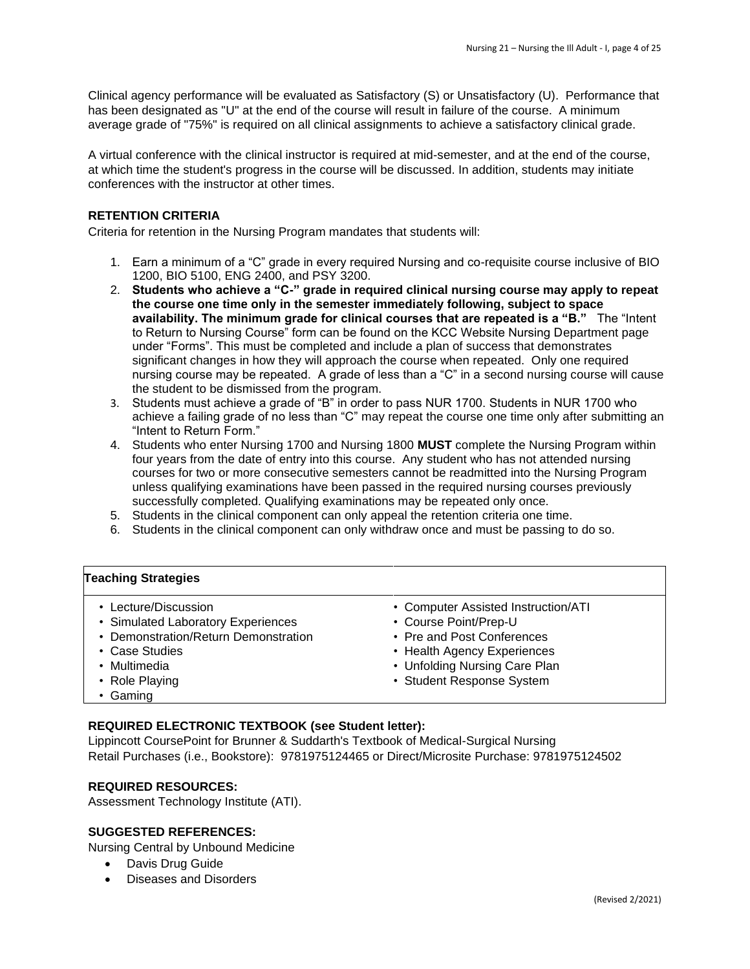Clinical agency performance will be evaluated as Satisfactory (S) or Unsatisfactory (U). Performance that has been designated as "U" at the end of the course will result in failure of the course. A minimum average grade of "75%" is required on all clinical assignments to achieve a satisfactory clinical grade.

A virtual conference with the clinical instructor is required at mid-semester, and at the end of the course, at which time the student's progress in the course will be discussed. In addition, students may initiate conferences with the instructor at other times.

# **RETENTION CRITERIA**

Criteria for retention in the Nursing Program mandates that students will:

- 1. Earn a minimum of a "C" grade in every required Nursing and co-requisite course inclusive of BIO 1200, BIO 5100, ENG 2400, and PSY 3200.
- 2. **Students who achieve a "C-" grade in required clinical nursing course may apply to repeat the course one time only in the semester immediately following, subject to space availability. The minimum grade for clinical courses that are repeated is a "B."** The "Intent to Return to Nursing Course" form can be found on the KCC Website Nursing Department page under "Forms". This must be completed and include a plan of success that demonstrates significant changes in how they will approach the course when repeated. Only one required nursing course may be repeated. A grade of less than a "C" in a second nursing course will cause the student to be dismissed from the program.
- 3. Students must achieve a grade of "B" in order to pass NUR 1700. Students in NUR 1700 who achieve a failing grade of no less than "C" may repeat the course one time only after submitting an "Intent to Return Form."
- 4. Students who enter Nursing 1700 and Nursing 1800 **MUST** complete the Nursing Program within four years from the date of entry into this course. Any student who has not attended nursing courses for two or more consecutive semesters cannot be readmitted into the Nursing Program unless qualifying examinations have been passed in the required nursing courses previously successfully completed. Qualifying examinations may be repeated only once.
- 5. Students in the clinical component can only appeal the retention criteria one time.
- 6. Students in the clinical component can only withdraw once and must be passing to do so.

# **Teaching Strategies**

- Lecture/Discussion
- Simulated Laboratory Experiences
- Demonstration/Return Demonstration
- Case Studies
- Multimedia
- Role Playing

• Health Agency Experiences • Unfolding Nursing Care Plan

• Course Point/Prep-U • Pre and Post Conferences

• Computer Assisted Instruction/ATI

• Student Response System

• Gaming

# **REQUIRED ELECTRONIC TEXTBOOK (see Student letter):**

Lippincott CoursePoint for Brunner & Suddarth's Textbook of Medical-Surgical Nursing Retail Purchases (i.e., Bookstore): 9781975124465 or Direct/Microsite Purchase: 9781975124502

# **REQUIRED RESOURCES:**

Assessment Technology Institute (ATI).

# **SUGGESTED REFERENCES:**

Nursing Central by Unbound Medicine

- Davis Drug Guide
- Diseases and Disorders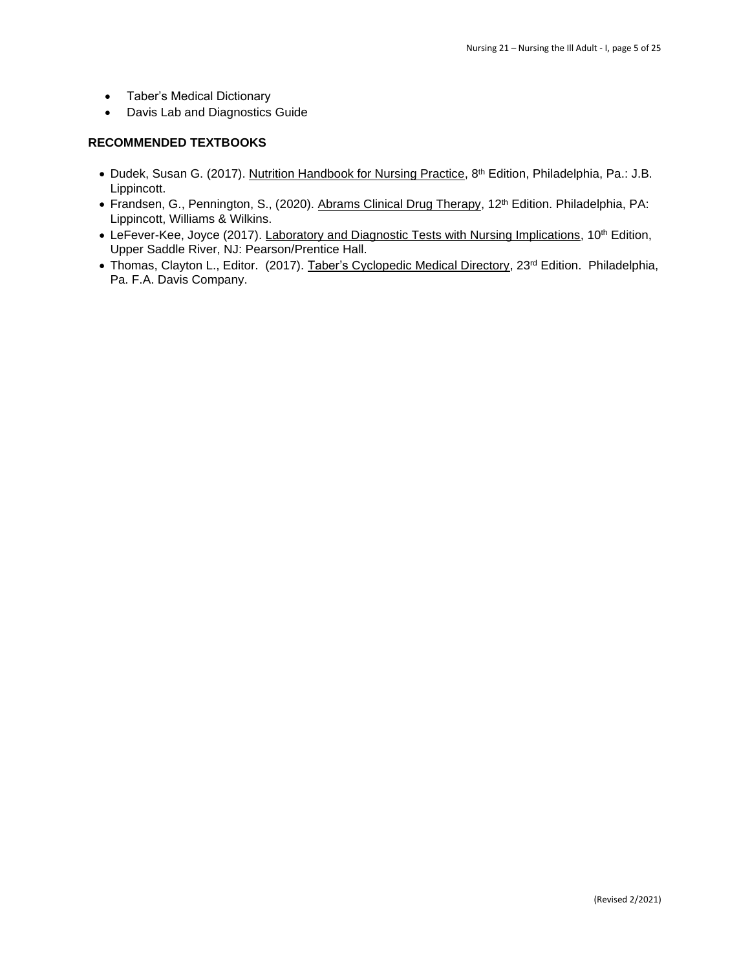- Taber's Medical Dictionary
- Davis Lab and Diagnostics Guide

# **RECOMMENDED TEXTBOOKS**

- Dudek, Susan G. (2017). Nutrition Handbook for Nursing Practice, 8<sup>th</sup> Edition, Philadelphia, Pa.: J.B. Lippincott.
- Frandsen, G., Pennington, S., (2020). Abrams Clinical Drug Therapy, 12<sup>th</sup> Edition. Philadelphia, PA: Lippincott, Williams & Wilkins.
- LeFever-Kee, Joyce (2017). *Laboratory and Diagnostic Tests with Nursing Implications*, 10<sup>th</sup> Edition, Upper Saddle River, NJ: Pearson/Prentice Hall.
- Thomas, Clayton L., Editor. (2017). Taber's Cyclopedic Medical Directory, 23<sup>rd</sup> Edition. Philadelphia, Pa. F.A. Davis Company.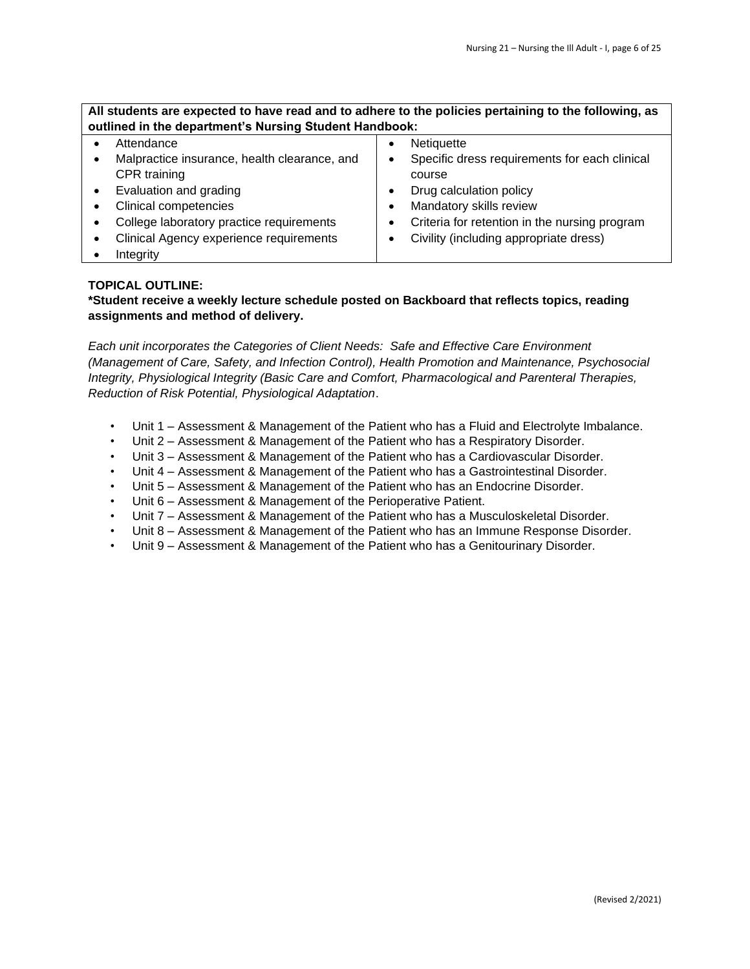# **All students are expected to have read and to adhere to the policies pertaining to the following, as outlined in the department's Nursing Student Handbook:**

| Attendance                                   | Netiquette                                    |
|----------------------------------------------|-----------------------------------------------|
| Malpractice insurance, health clearance, and | Specific dress requirements for each clinical |
| CPR training                                 | course                                        |
| Evaluation and grading                       | Drug calculation policy                       |
| Clinical competencies                        | Mandatory skills review                       |
| College laboratory practice requirements     | Criteria for retention in the nursing program |
| Clinical Agency experience requirements      | Civility (including appropriate dress)        |
| Integrity                                    |                                               |

# **TOPICAL OUTLINE:**

**\*Student receive a weekly lecture schedule posted on Backboard that reflects topics, reading assignments and method of delivery.** 

*Each unit incorporates the Categories of Client Needs: Safe and Effective Care Environment (Management of Care, Safety, and Infection Control), Health Promotion and Maintenance, Psychosocial Integrity, Physiological Integrity (Basic Care and Comfort, Pharmacological and Parenteral Therapies, Reduction of Risk Potential, Physiological Adaptation*.

- Unit 1 Assessment & Management of the Patient who has a Fluid and Electrolyte Imbalance.
- Unit 2 Assessment & Management of the Patient who has a Respiratory Disorder.
- Unit 3 Assessment & Management of the Patient who has a Cardiovascular Disorder.
- Unit 4 Assessment & Management of the Patient who has a Gastrointestinal Disorder.
- Unit 5 Assessment & Management of the Patient who has an Endocrine Disorder.
- Unit 6 Assessment & Management of the Perioperative Patient.
- Unit 7 Assessment & Management of the Patient who has a Musculoskeletal Disorder.
- Unit 8 Assessment & Management of the Patient who has an Immune Response Disorder.
- Unit 9 Assessment & Management of the Patient who has a Genitourinary Disorder.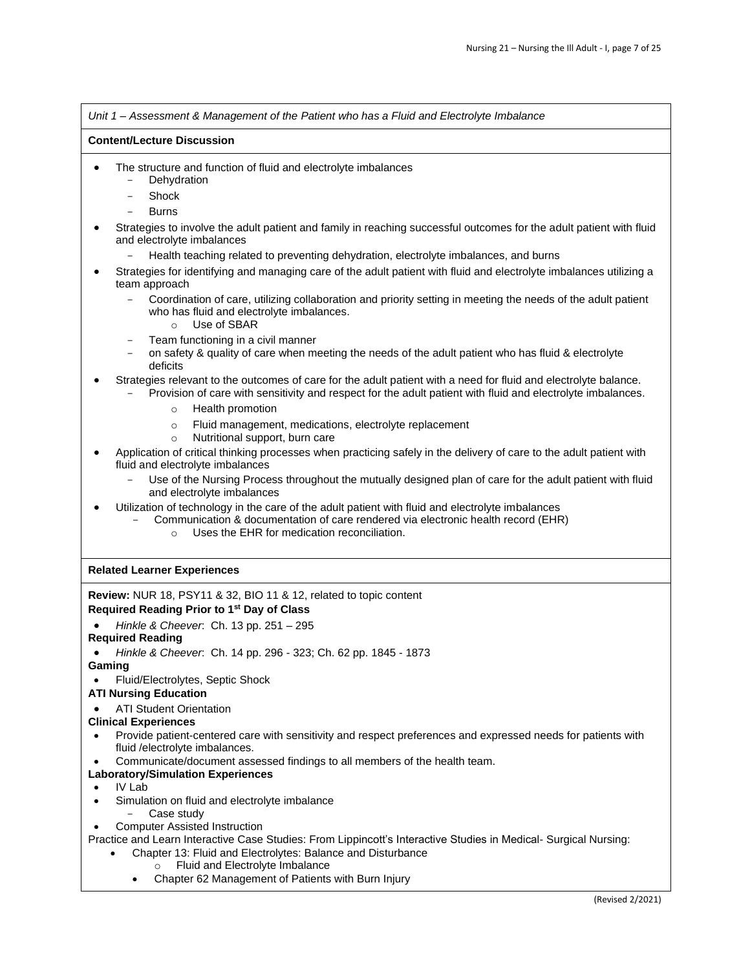|                                   | Unit 1 – Assessment & Management of the Patient who has a Fluid and Electrolyte Imbalance                                                                                                                                                        |  |  |  |  |
|-----------------------------------|--------------------------------------------------------------------------------------------------------------------------------------------------------------------------------------------------------------------------------------------------|--|--|--|--|
| <b>Content/Lecture Discussion</b> |                                                                                                                                                                                                                                                  |  |  |  |  |
| $\bullet$                         | The structure and function of fluid and electrolyte imbalances<br>Dehydration<br>$\qquad \qquad -$                                                                                                                                               |  |  |  |  |
|                                   | Shock                                                                                                                                                                                                                                            |  |  |  |  |
|                                   | <b>Burns</b>                                                                                                                                                                                                                                     |  |  |  |  |
|                                   | Strategies to involve the adult patient and family in reaching successful outcomes for the adult patient with fluid<br>and electrolyte imbalances                                                                                                |  |  |  |  |
|                                   | Health teaching related to preventing dehydration, electrolyte imbalances, and burns                                                                                                                                                             |  |  |  |  |
|                                   | Strategies for identifying and managing care of the adult patient with fluid and electrolyte imbalances utilizing a<br>team approach                                                                                                             |  |  |  |  |
|                                   | Coordination of care, utilizing collaboration and priority setting in meeting the needs of the adult patient<br>who has fluid and electrolyte imbalances.<br>Use of SBAR<br>$\circ$                                                              |  |  |  |  |
|                                   | Team functioning in a civil manner<br>on safety & quality of care when meeting the needs of the adult patient who has fluid & electrolyte<br>deficits                                                                                            |  |  |  |  |
|                                   | Strategies relevant to the outcomes of care for the adult patient with a need for fluid and electrolyte balance.<br>Provision of care with sensitivity and respect for the adult patient with fluid and electrolyte imbalances.                  |  |  |  |  |
|                                   | Health promotion<br>$\circ$                                                                                                                                                                                                                      |  |  |  |  |
|                                   | Fluid management, medications, electrolyte replacement<br>$\circ$<br>Nutritional support, burn care<br>$\circ$                                                                                                                                   |  |  |  |  |
| $\bullet$                         | Application of critical thinking processes when practicing safely in the delivery of care to the adult patient with<br>fluid and electrolyte imbalances                                                                                          |  |  |  |  |
|                                   | Use of the Nursing Process throughout the mutually designed plan of care for the adult patient with fluid<br>and electrolyte imbalances                                                                                                          |  |  |  |  |
|                                   | Utilization of technology in the care of the adult patient with fluid and electrolyte imbalances<br>Communication & documentation of care rendered via electronic health record (EHR)<br>Uses the EHR for medication reconciliation.<br>$\Omega$ |  |  |  |  |
|                                   | <b>Related Learner Experiences</b>                                                                                                                                                                                                               |  |  |  |  |
|                                   | <b>Review:</b> NUR 18, PSY11 & 32, BIO 11 & 12, related to topic content                                                                                                                                                                         |  |  |  |  |
|                                   | Required Reading Prior to 1 <sup>st</sup> Day of Class                                                                                                                                                                                           |  |  |  |  |
|                                   | Hinkle & Cheever. Ch. 13 pp. 251 - 295                                                                                                                                                                                                           |  |  |  |  |
|                                   | <b>Required Reading</b>                                                                                                                                                                                                                          |  |  |  |  |
| $\bullet$                         | Hinkle & Cheever. Ch. 14 pp. 296 - 323; Ch. 62 pp. 1845 - 1873                                                                                                                                                                                   |  |  |  |  |
| $\bullet$                         | Gaming<br>Fluid/Electrolytes, Septic Shock                                                                                                                                                                                                       |  |  |  |  |
|                                   | <b>ATI Nursing Education</b>                                                                                                                                                                                                                     |  |  |  |  |
| $\bullet$                         | <b>ATI Student Orientation</b>                                                                                                                                                                                                                   |  |  |  |  |
|                                   | <b>Clinical Experiences</b>                                                                                                                                                                                                                      |  |  |  |  |

- Provide patient-centered care with sensitivity and respect preferences and expressed needs for patients with fluid /electrolyte imbalances.
- Communicate/document assessed findings to all members of the health team.

# **Laboratory/Simulation Experiences**

- IV Lab
- Simulation on fluid and electrolyte imbalance
	- Case study
- Computer Assisted Instruction

Practice and Learn Interactive Case Studies: From Lippincott's Interactive Studies in Medical- Surgical Nursing:

- Chapter 13: Fluid and Electrolytes: Balance and Disturbance
	- o Fluid and Electrolyte Imbalance
	- Chapter 62 Management of Patients with Burn Injury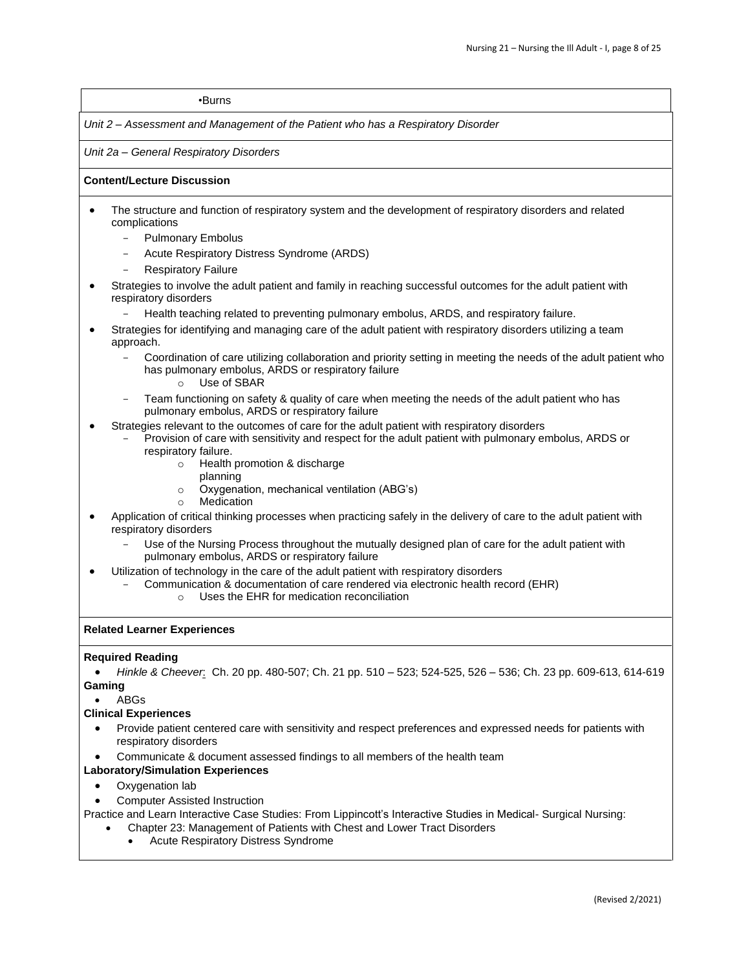#### •Burns

*Unit 2 – Assessment and Management of the Patient who has a Respiratory Disorder* 

*Unit 2a – General Respiratory Disorders* 

#### **Content/Lecture Discussion**

- The structure and function of respiratory system and the development of respiratory disorders and related complications
	- Pulmonary Embolus
	- Acute Respiratory Distress Syndrome (ARDS)
	- **Respiratory Failure**
- Strategies to involve the adult patient and family in reaching successful outcomes for the adult patient with respiratory disorders
	- Health teaching related to preventing pulmonary embolus, ARDS, and respiratory failure.
- Strategies for identifying and managing care of the adult patient with respiratory disorders utilizing a team approach.
	- Coordination of care utilizing collaboration and priority setting in meeting the needs of the adult patient who has pulmonary embolus, ARDS or respiratory failure o Use of SBAR
	- Team functioning on safety & quality of care when meeting the needs of the adult patient who has pulmonary embolus, ARDS or respiratory failure
- Strategies relevant to the outcomes of care for the adult patient with respiratory disorders
	- Provision of care with sensitivity and respect for the adult patient with pulmonary embolus, ARDS or respiratory failure.
		- o Health promotion & discharge
			- planning
		- o Oxygenation, mechanical ventilation (ABG's)
		- o Medication
- Application of critical thinking processes when practicing safely in the delivery of care to the adult patient with respiratory disorders
	- Use of the Nursing Process throughout the mutually designed plan of care for the adult patient with pulmonary embolus, ARDS or respiratory failure
- Utilization of technology in the care of the adult patient with respiratory disorders
	- Communication & documentation of care rendered via electronic health record (EHR)
		- o Uses the EHR for medication reconciliation

#### **Related Learner Experiences**

#### **Required Reading**

• *Hinkle & Cheever*: Ch. 20 pp. 480-507; Ch. 21 pp. 510 – 523; 524-525, 526 – 536; Ch. 23 pp. 609-613, 614-619 **Gaming**

• ABGs

#### **Clinical Experiences**

- Provide patient centered care with sensitivity and respect preferences and expressed needs for patients with respiratory disorders
- Communicate & document assessed findings to all members of the health team

#### **Laboratory/Simulation Experiences**

- Oxygenation lab
- Computer Assisted Instruction

Practice and Learn Interactive Case Studies: From Lippincott's Interactive Studies in Medical- Surgical Nursing: • Chapter 23: Management of Patients with Chest and Lower Tract Disorders

• Acute Respiratory Distress Syndrome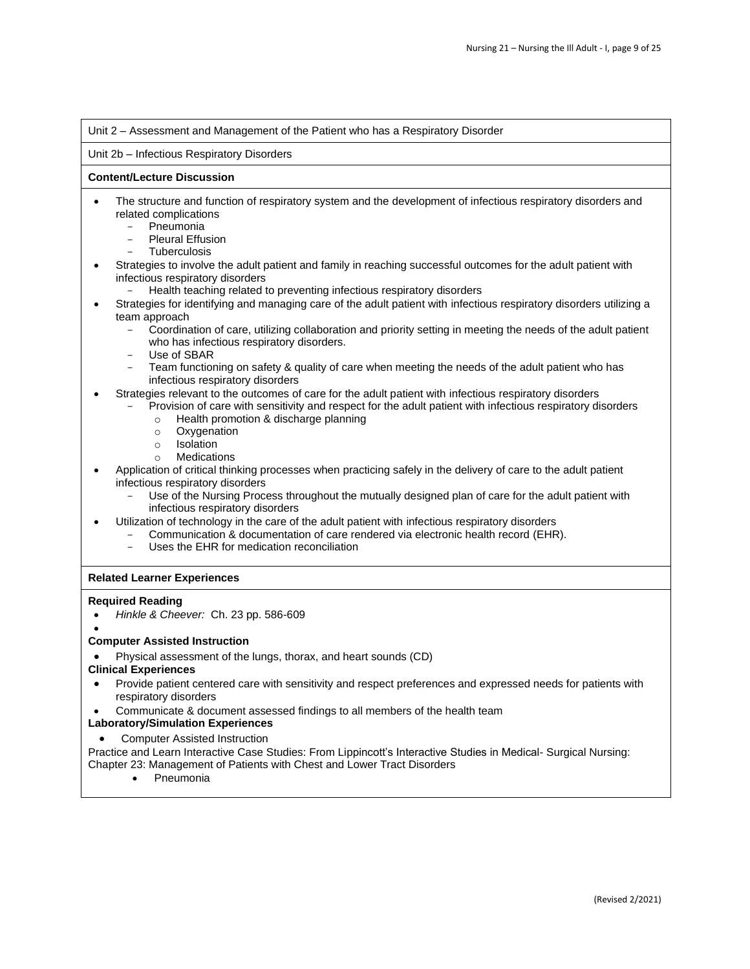#### Unit 2 – Assessment and Management of the Patient who has a Respiratory Disorder

#### Unit 2b – Infectious Respiratory Disorders

#### **Content/Lecture Discussion**

- The structure and function of respiratory system and the development of infectious respiratory disorders and related complications
	- **Pneumonia**
	- Pleural Effusion
	- **Tuberculosis**
- Strategies to involve the adult patient and family in reaching successful outcomes for the adult patient with infectious respiratory disorders
	- Health teaching related to preventing infectious respiratory disorders
- Strategies for identifying and managing care of the adult patient with infectious respiratory disorders utilizing a team approach
	- Coordination of care, utilizing collaboration and priority setting in meeting the needs of the adult patient who has infectious respiratory disorders.
	- Use of SBAR
	- Team functioning on safety & quality of care when meeting the needs of the adult patient who has infectious respiratory disorders
- Strategies relevant to the outcomes of care for the adult patient with infectious respiratory disorders
	- Provision of care with sensitivity and respect for the adult patient with infectious respiratory disorders
		- o Health promotion & discharge planning
		- o Oxygenation
		- o Isolation
		- o Medications
- Application of critical thinking processes when practicing safely in the delivery of care to the adult patient infectious respiratory disorders
	- Use of the Nursing Process throughout the mutually designed plan of care for the adult patient with infectious respiratory disorders
- Utilization of technology in the care of the adult patient with infectious respiratory disorders
	- Communication & documentation of care rendered via electronic health record (EHR).
		- Uses the EHR for medication reconciliation

# **Related Learner Experiences**

#### **Required Reading**

- *Hinkle & Cheever:* Ch. 23 pp. 586-609
- •

# **Computer Assisted Instruction**

• Physical assessment of the lungs, thorax, and heart sounds (CD)

#### **Clinical Experiences**

- Provide patient centered care with sensitivity and respect preferences and expressed needs for patients with respiratory disorders
- Communicate & document assessed findings to all members of the health team

#### **Laboratory/Simulation Experiences**

• Computer Assisted Instruction

Practice and Learn Interactive Case Studies: From Lippincott's Interactive Studies in Medical- Surgical Nursing: Chapter 23: Management of Patients with Chest and Lower Tract Disorders

• Pneumonia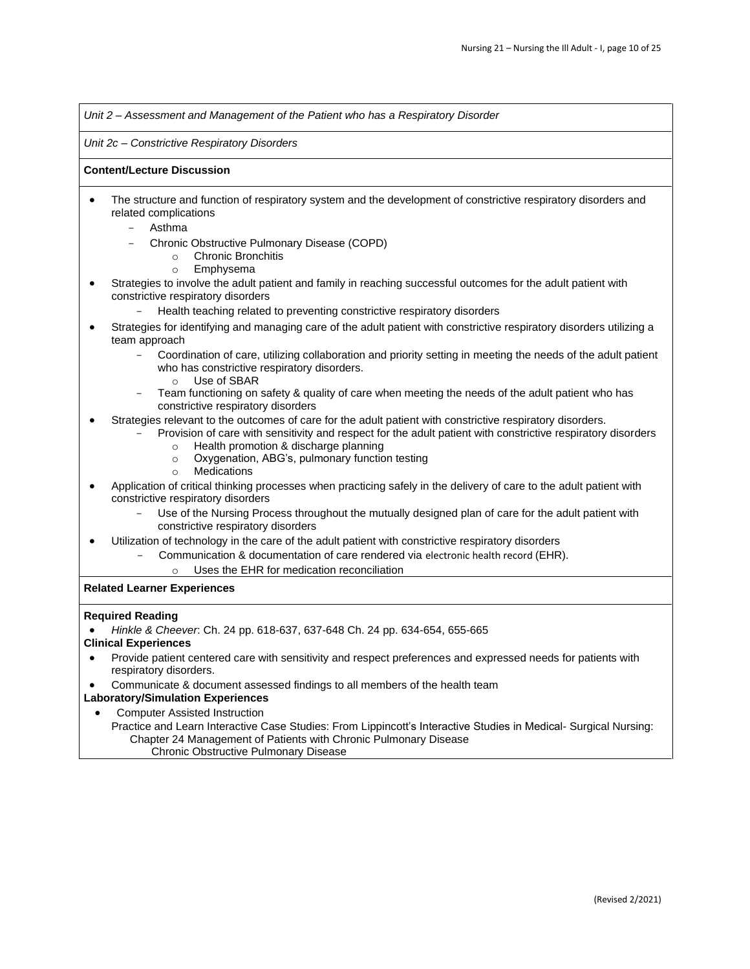*Unit 2 – Assessment and Management of the Patient who has a Respiratory Disorder* 

*Unit 2c – Constrictive Respiratory Disorders* 

### **Content/Lecture Discussion**

- The structure and function of respiratory system and the development of constrictive respiratory disorders and related complications
	- Asthma
		- Chronic Obstructive Pulmonary Disease (COPD)
			- o Chronic Bronchitis
			- o Emphysema
- Strategies to involve the adult patient and family in reaching successful outcomes for the adult patient with constrictive respiratory disorders
	- Health teaching related to preventing constrictive respiratory disorders
- Strategies for identifying and managing care of the adult patient with constrictive respiratory disorders utilizing a team approach
	- Coordination of care, utilizing collaboration and priority setting in meeting the needs of the adult patient who has constrictive respiratory disorders.
		- o Use of SBAR
	- Team functioning on safety & quality of care when meeting the needs of the adult patient who has constrictive respiratory disorders
- Strategies relevant to the outcomes of care for the adult patient with constrictive respiratory disorders.
	- Provision of care with sensitivity and respect for the adult patient with constrictive respiratory disorders o Health promotion & discharge planning
		- o Oxygenation, ABG's, pulmonary function testing
		- o Medications
- Application of critical thinking processes when practicing safely in the delivery of care to the adult patient with constrictive respiratory disorders
	- Use of the Nursing Process throughout the mutually designed plan of care for the adult patient with constrictive respiratory disorders
- Utilization of technology in the care of the adult patient with constrictive respiratory disorders
	- Communication & documentation of care rendered via electronic health record (EHR).
		- o Uses the EHR for medication reconciliation

# **Related Learner Experiences**

#### **Required Reading**

- *Hinkle & Cheever*: Ch. 24 pp. 618-637, 637-648 Ch. 24 pp. 634-654, 655-665
- **Clinical Experiences**
- Provide patient centered care with sensitivity and respect preferences and expressed needs for patients with respiratory disorders.
- Communicate & document assessed findings to all members of the health team

# **Laboratory/Simulation Experiences**

- Computer Assisted Instruction
	- Practice and Learn Interactive Case Studies: From Lippincott's Interactive Studies in Medical- Surgical Nursing: Chapter 24 Management of Patients with Chronic Pulmonary Disease
		- Chronic Obstructive Pulmonary Disease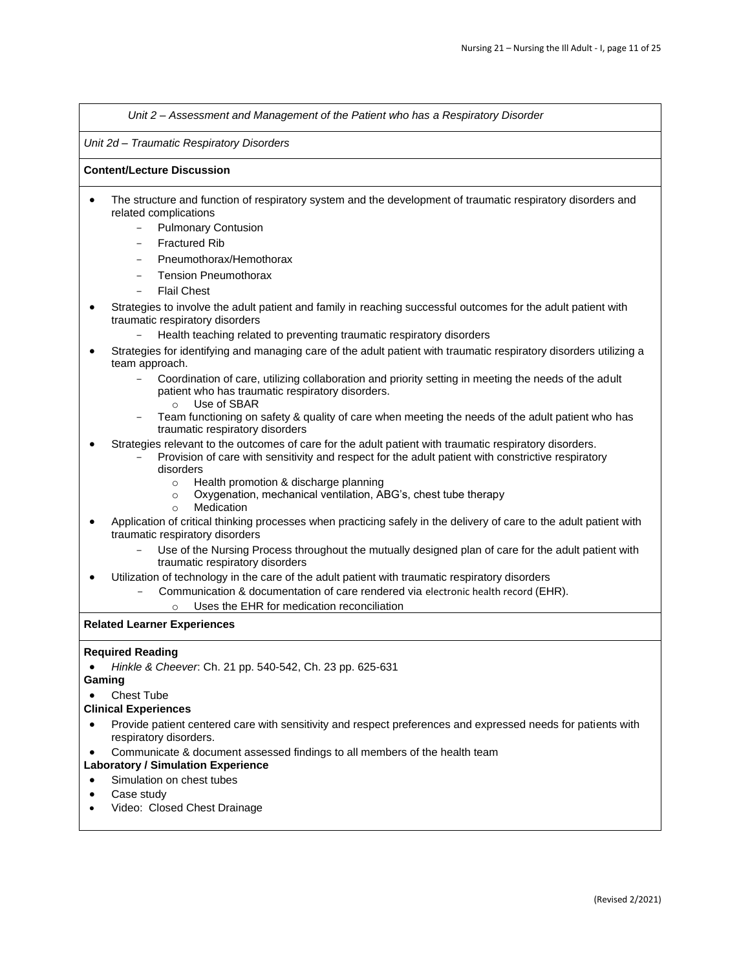*Unit 2 – Assessment and Management of the Patient who has a Respiratory Disorder* 

#### *Unit 2d – Traumatic Respiratory Disorders*

#### **Content/Lecture Discussion**

- The structure and function of respiratory system and the development of traumatic respiratory disorders and related complications
	- Pulmonary Contusion
	- **Fractured Rib**
	- Pneumothorax/Hemothorax
	- Tension Pneumothorax
	- **Flail Chest**
- Strategies to involve the adult patient and family in reaching successful outcomes for the adult patient with traumatic respiratory disorders
	- Health teaching related to preventing traumatic respiratory disorders
- Strategies for identifying and managing care of the adult patient with traumatic respiratory disorders utilizing a team approach.
	- Coordination of care, utilizing collaboration and priority setting in meeting the needs of the adult patient who has traumatic respiratory disorders.
		- o Use of SBAR
	- Team functioning on safety & quality of care when meeting the needs of the adult patient who has traumatic respiratory disorders
- Strategies relevant to the outcomes of care for the adult patient with traumatic respiratory disorders.
	- Provision of care with sensitivity and respect for the adult patient with constrictive respiratory disorders
		- o Health promotion & discharge planning
		- o Oxygenation, mechanical ventilation, ABG's, chest tube therapy
		- o Medication
- Application of critical thinking processes when practicing safely in the delivery of care to the adult patient with traumatic respiratory disorders
	- Use of the Nursing Process throughout the mutually designed plan of care for the adult patient with traumatic respiratory disorders
- Utilization of technology in the care of the adult patient with traumatic respiratory disorders
	- Communication & documentation of care rendered via electronic health record (EHR).
		- Uses the EHR for medication reconciliation

# **Related Learner Experiences**

#### **Required Reading**

- *Hinkle & Cheever*: Ch. 21 pp. 540-542, Ch. 23 pp. 625-631
- **Gaming**
- Chest Tube

#### **Clinical Experiences**

- Provide patient centered care with sensitivity and respect preferences and expressed needs for patients with respiratory disorders.
- Communicate & document assessed findings to all members of the health team

# **Laboratory / Simulation Experience**

- Simulation on chest tubes
- Case study
- Video: Closed Chest Drainage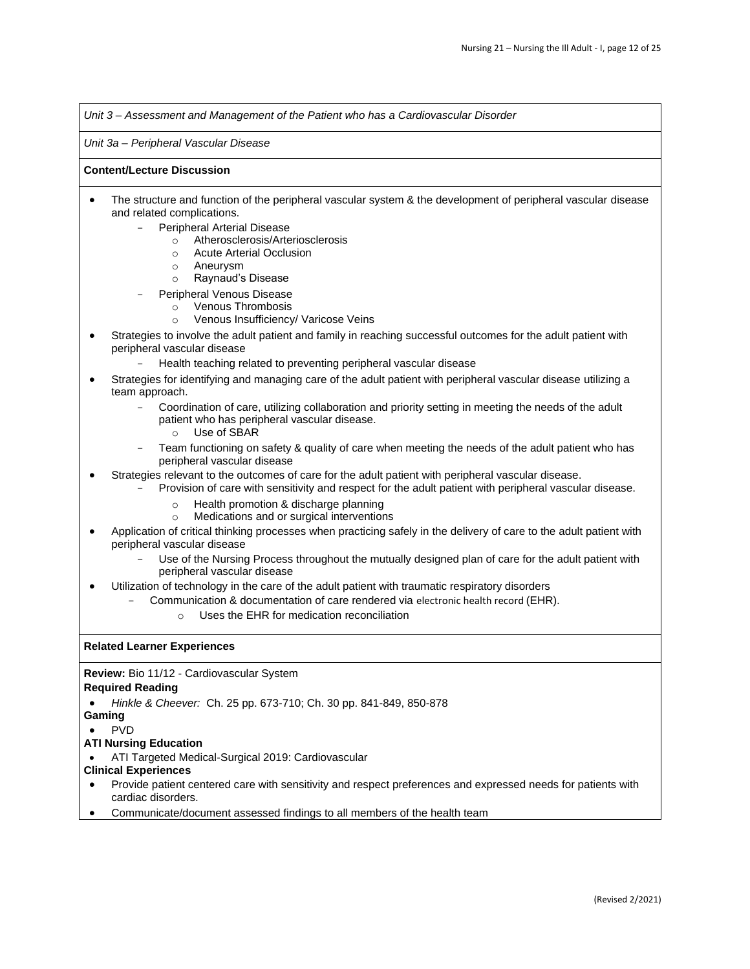*Unit 3 – Assessment and Management of the Patient who has a Cardiovascular Disorder* 

*Unit 3a – Peripheral Vascular Disease* 

### **Content/Lecture Discussion**

- The structure and function of the peripheral vascular system & the development of peripheral vascular disease and related complications.
	- Peripheral Arterial Disease
		- o Atherosclerosis/Arteriosclerosis
		- o Acute Arterial Occlusion
		- o Aneurysm
		- o Raynaud's Disease
	- Peripheral Venous Disease
		- o Venous Thrombosis
		- o Venous Insufficiency/ Varicose Veins
- Strategies to involve the adult patient and family in reaching successful outcomes for the adult patient with peripheral vascular disease
	- Health teaching related to preventing peripheral vascular disease
- Strategies for identifying and managing care of the adult patient with peripheral vascular disease utilizing a team approach.
	- Coordination of care, utilizing collaboration and priority setting in meeting the needs of the adult patient who has peripheral vascular disease.
		- o Use of SBAR
	- Team functioning on safety & quality of care when meeting the needs of the adult patient who has peripheral vascular disease
- Strategies relevant to the outcomes of care for the adult patient with peripheral vascular disease.
	- Provision of care with sensitivity and respect for the adult patient with peripheral vascular disease.
		- o Health promotion & discharge planning
		- o Medications and or surgical interventions
- Application of critical thinking processes when practicing safely in the delivery of care to the adult patient with peripheral vascular disease
	- Use of the Nursing Process throughout the mutually designed plan of care for the adult patient with peripheral vascular disease
- Utilization of technology in the care of the adult patient with traumatic respiratory disorders
	- Communication & documentation of care rendered via electronic health record (EHR).
		- o Uses the EHR for medication reconciliation

# **Related Learner Experiences**

**Review:** Bio 11/12 - Cardiovascular System

# **Required Reading**

• *Hinkle & Cheever:* Ch. 25 pp. 673-710; Ch. 30 pp. 841-849, 850-878

#### **Gaming**

• PVD

# **ATI Nursing Education**

• ATI Targeted Medical-Surgical 2019: Cardiovascular

# **Clinical Experiences**

- Provide patient centered care with sensitivity and respect preferences and expressed needs for patients with cardiac disorders.
- Communicate/document assessed findings to all members of the health team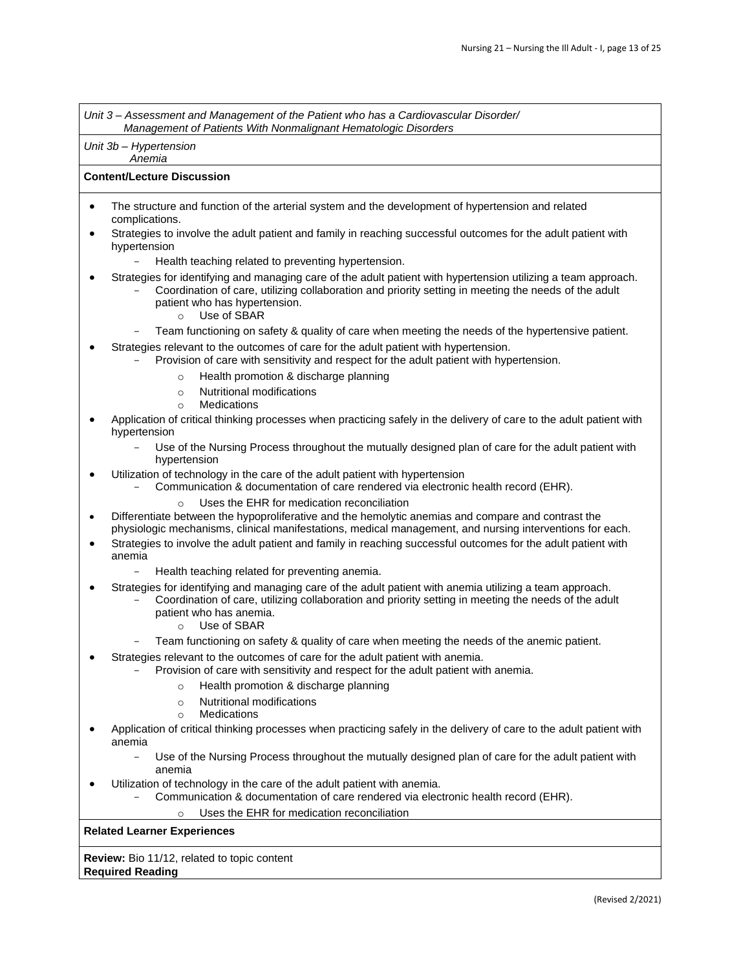*Unit 3 – Assessment and Management of the Patient who has a Cardiovascular Disorder/ Management of Patients With Nonmalignant Hematologic Disorders*

*Unit 3b – Hypertension Anemia*

#### **Content/Lecture Discussion**

- The structure and function of the arterial system and the development of hypertension and related complications.
- Strategies to involve the adult patient and family in reaching successful outcomes for the adult patient with hypertension
	- Health teaching related to preventing hypertension.
- Strategies for identifying and managing care of the adult patient with hypertension utilizing a team approach.
	- Coordination of care, utilizing collaboration and priority setting in meeting the needs of the adult patient who has hypertension.
		- o Use of SBAR
		- Team functioning on safety & quality of care when meeting the needs of the hypertensive patient.
- Strategies relevant to the outcomes of care for the adult patient with hypertension.
	- Provision of care with sensitivity and respect for the adult patient with hypertension.
		- o Health promotion & discharge planning
		- o Nutritional modifications
		- o Medications
- Application of critical thinking processes when practicing safely in the delivery of care to the adult patient with hypertension
	- Use of the Nursing Process throughout the mutually designed plan of care for the adult patient with hypertension
- Utilization of technology in the care of the adult patient with hypertension
	- Communication & documentation of care rendered via electronic health record (EHR).
		- Uses the EHR for medication reconciliation
- Differentiate between the hypoproliferative and the hemolytic anemias and compare and contrast the physiologic mechanisms, clinical manifestations, medical management, and nursing interventions for each.
- Strategies to involve the adult patient and family in reaching successful outcomes for the adult patient with anemia
	- Health teaching related for preventing anemia.
- Strategies for identifying and managing care of the adult patient with anemia utilizing a team approach.
	- Coordination of care, utilizing collaboration and priority setting in meeting the needs of the adult patient who has anemia.
		- o Use of SBAR
		- Team functioning on safety & quality of care when meeting the needs of the anemic patient.
- Strategies relevant to the outcomes of care for the adult patient with anemia.
	- Provision of care with sensitivity and respect for the adult patient with anemia.
		- o Health promotion & discharge planning
		- o Nutritional modifications
		- o Medications
- Application of critical thinking processes when practicing safely in the delivery of care to the adult patient with anemia
	- Use of the Nursing Process throughout the mutually designed plan of care for the adult patient with anemia
- Utilization of technology in the care of the adult patient with anemia.
	- Communication & documentation of care rendered via electronic health record (EHR).
		- Uses the EHR for medication reconciliation

# **Related Learner Experiences**

**Review:** Bio 11/12, related to topic content **Required Reading**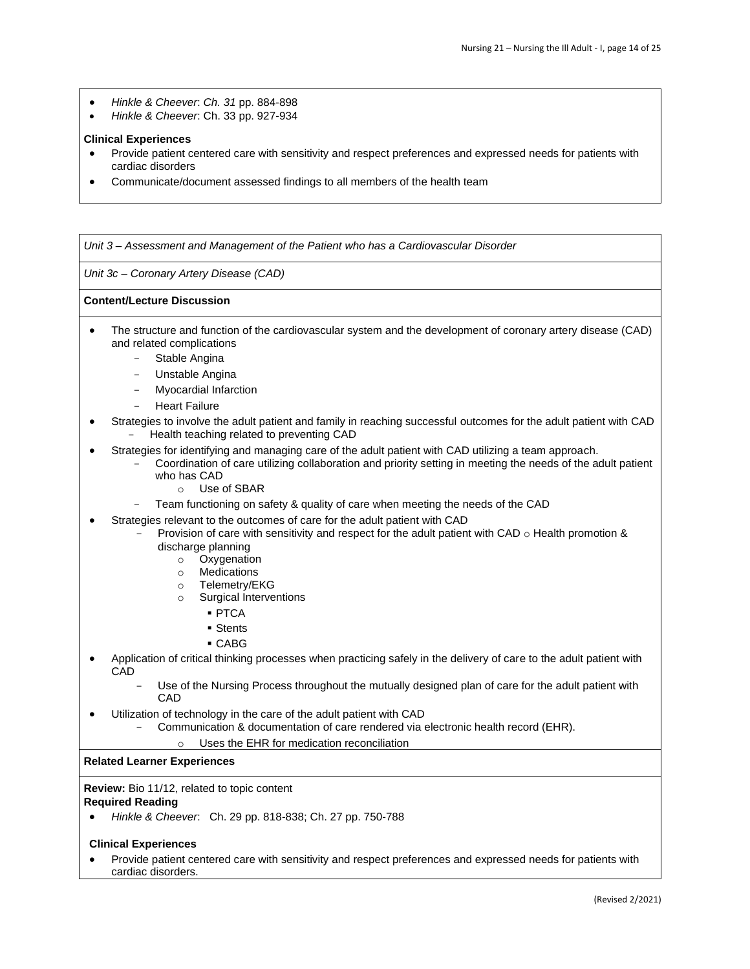- *Hinkle & Cheever*: *Ch. 31* pp. 884-898
- *Hinkle & Cheever*: Ch. 33 pp. 927-934

## **Clinical Experiences**

- Provide patient centered care with sensitivity and respect preferences and expressed needs for patients with cardiac disorders
- Communicate/document assessed findings to all members of the health team

*Unit 3 – Assessment and Management of the Patient who has a Cardiovascular Disorder* 

*Unit 3c – Coronary Artery Disease (CAD)* 

#### **Content/Lecture Discussion**

- The structure and function of the cardiovascular system and the development of coronary artery disease (CAD) and related complications
	- Stable Angina
	- Unstable Angina
	- Myocardial Infarction
	- **Heart Failure**
- Strategies to involve the adult patient and family in reaching successful outcomes for the adult patient with CAD - Health teaching related to preventing CAD
- Strategies for identifying and managing care of the adult patient with CAD utilizing a team approach. - Coordination of care utilizing collaboration and priority setting in meeting the needs of the adult patient who has CAD
	- o Use of SBAR
	- Team functioning on safety & quality of care when meeting the needs of the CAD
	- Strategies relevant to the outcomes of care for the adult patient with CAD
- Provision of care with sensitivity and respect for the adult patient with CAD  $\circ$  Health promotion & discharge planning
	- o Oxygenation
	- o Medications
	- o Telemetry/EKG
	- o Surgical Interventions
		- PTCA
		- Stents
		- CABG
- Application of critical thinking processes when practicing safely in the delivery of care to the adult patient with **CAD** 
	- Use of the Nursing Process throughout the mutually designed plan of care for the adult patient with **CAD**
- Utilization of technology in the care of the adult patient with CAD
	- Communication & documentation of care rendered via electronic health record (EHR).

#### Uses the EHR for medication reconciliation

#### **Related Learner Experiences**

#### **Review:** Bio 11/12, related to topic content

#### **Required Reading**

• *Hinkle & Cheever*: Ch. 29 pp. 818-838; Ch. 27 pp. 750-788

#### **Clinical Experiences**

• Provide patient centered care with sensitivity and respect preferences and expressed needs for patients with cardiac disorders.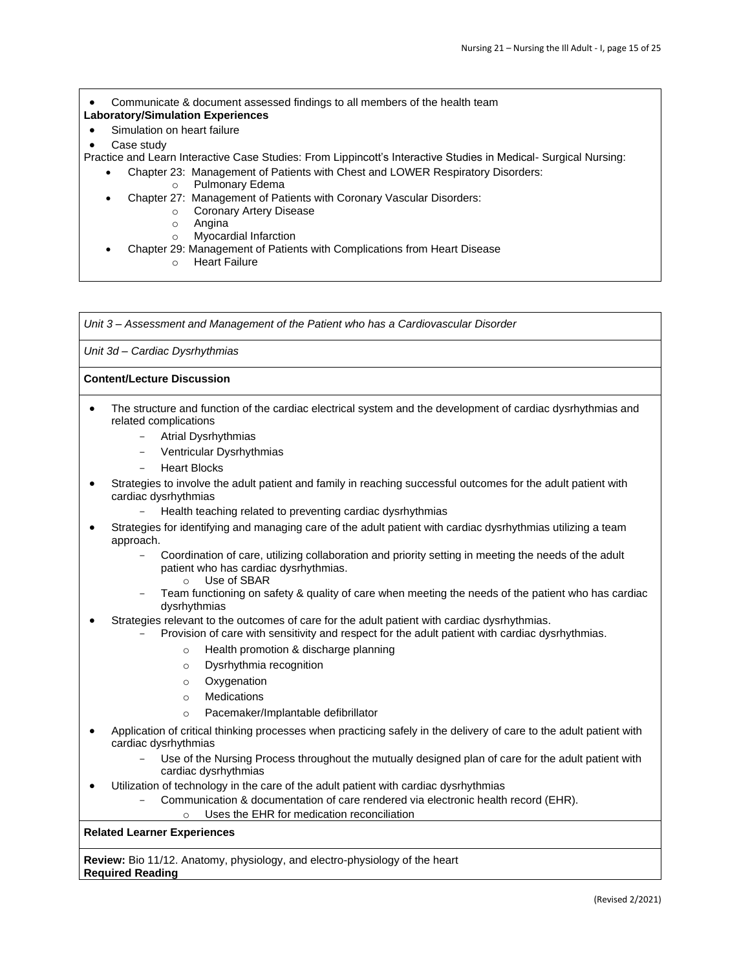• Communicate & document assessed findings to all members of the health team

- **Laboratory/Simulation Experiences**
- Simulation on heart failure
- Case study
- Practice and Learn Interactive Case Studies: From Lippincott's Interactive Studies in Medical- Surgical Nursing:
	- Chapter 23: Management of Patients with Chest and LOWER Respiratory Disorders:
		- o Pulmonary Edema
		- Chapter 27: Management of Patients with Coronary Vascular Disorders:
			- o Coronary Artery Disease
				- o Angina
				- o Myocardial Infarction
		- Chapter 29: Management of Patients with Complications from Heart Disease
			- o Heart Failure

*Unit 3 – Assessment and Management of the Patient who has a Cardiovascular Disorder* 

*Unit 3d – Cardiac Dysrhythmias* 

#### **Content/Lecture Discussion**

- The structure and function of the cardiac electrical system and the development of cardiac dysrhythmias and related complications
	- Atrial Dysrhythmias
	- Ventricular Dysrhythmias
	- **Heart Blocks**
- Strategies to involve the adult patient and family in reaching successful outcomes for the adult patient with cardiac dysrhythmias
	- Health teaching related to preventing cardiac dysrhythmias
- Strategies for identifying and managing care of the adult patient with cardiac dysrhythmias utilizing a team approach.
	- Coordination of care, utilizing collaboration and priority setting in meeting the needs of the adult patient who has cardiac dysrhythmias.
		- o Use of SBAR
	- Team functioning on safety & quality of care when meeting the needs of the patient who has cardiac dysrhythmias
- Strategies relevant to the outcomes of care for the adult patient with cardiac dysrhythmias.
	- Provision of care with sensitivity and respect for the adult patient with cardiac dysrhythmias.
		- o Health promotion & discharge planning
		- o Dysrhythmia recognition
		- o Oxygenation
		- **Medications**
		- o Pacemaker/Implantable defibrillator
- Application of critical thinking processes when practicing safely in the delivery of care to the adult patient with cardiac dysrhythmias
	- Use of the Nursing Process throughout the mutually designed plan of care for the adult patient with cardiac dysrhythmias
- Utilization of technology in the care of the adult patient with cardiac dysrhythmias
	- Communication & documentation of care rendered via electronic health record (EHR).
		- o Uses the EHR for medication reconciliation

# **Related Learner Experiences**

**Review:** Bio 11/12. Anatomy, physiology, and electro-physiology of the heart **Required Reading**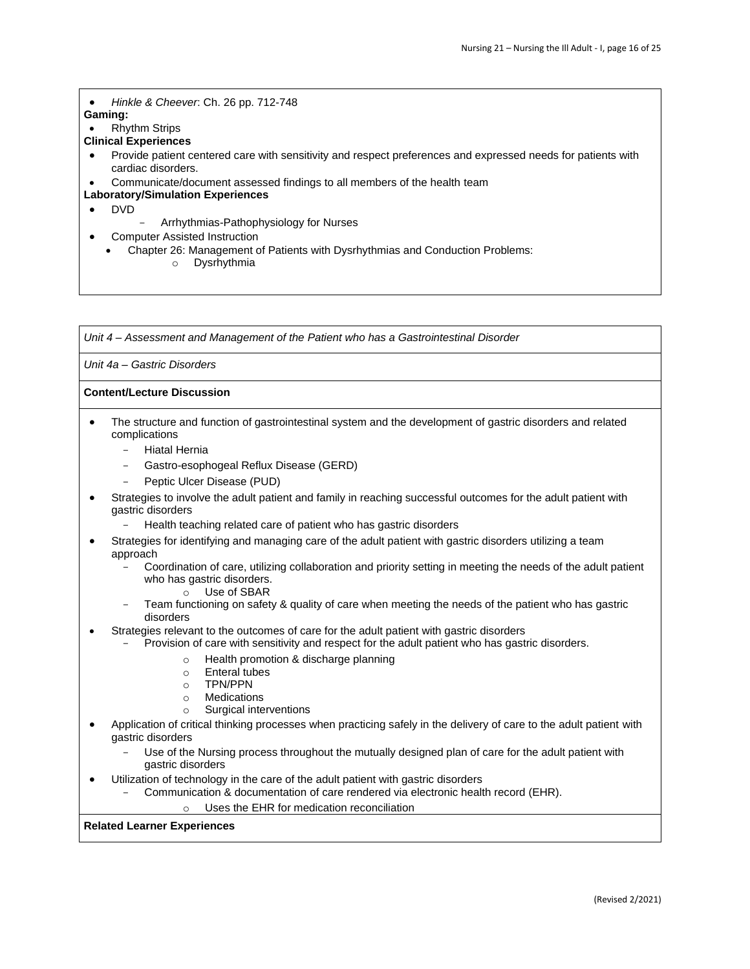• *Hinkle & Cheever*: Ch. 26 pp. 712-748

**Gaming:**

• Rhythm Strips

# **Clinical Experiences**

• Provide patient centered care with sensitivity and respect preferences and expressed needs for patients with cardiac disorders.

• Communicate/document assessed findings to all members of the health team

# **Laboratory/Simulation Experiences**

- DVD
- Arrhythmias-Pathophysiology for Nurses
- Computer Assisted Instruction
	- Chapter 26: Management of Patients with Dysrhythmias and Conduction Problems: o Dysrhythmia

*Unit 4 – Assessment and Management of the Patient who has a Gastrointestinal Disorder* 

## *Unit 4a – Gastric Disorders*

# **Content/Lecture Discussion**

- The structure and function of gastrointestinal system and the development of gastric disorders and related complications
	- Hiatal Hernia
	- Gastro-esophogeal Reflux Disease (GERD)
	- Peptic Ulcer Disease (PUD)
- Strategies to involve the adult patient and family in reaching successful outcomes for the adult patient with gastric disorders
	- Health teaching related care of patient who has gastric disorders
- Strategies for identifying and managing care of the adult patient with gastric disorders utilizing a team approach
	- Coordination of care, utilizing collaboration and priority setting in meeting the needs of the adult patient who has gastric disorders.
		- o Use of SBAR
	- Team functioning on safety & quality of care when meeting the needs of the patient who has gastric disorders
- Strategies relevant to the outcomes of care for the adult patient with gastric disorders
	- Provision of care with sensitivity and respect for the adult patient who has gastric disorders.
		- o Health promotion & discharge planning
		- o Enteral tubes
		- o TPN/PPN
		- o Medications
		- o Surgical interventions
- Application of critical thinking processes when practicing safely in the delivery of care to the adult patient with gastric disorders
	- Use of the Nursing process throughout the mutually designed plan of care for the adult patient with gastric disorders
- Utilization of technology in the care of the adult patient with gastric disorders
	- Communication & documentation of care rendered via electronic health record (EHR).

o Uses the EHR for medication reconciliation

#### **Related Learner Experiences**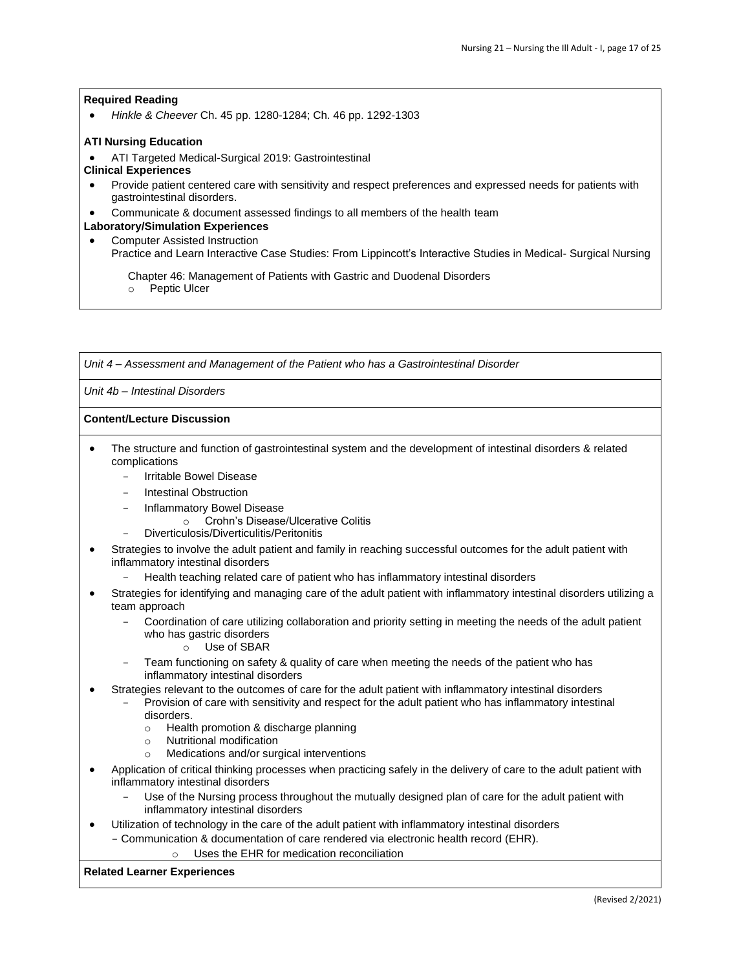• *Hinkle & Cheever* Ch. 45 pp. 1280-1284; Ch. 46 pp. 1292-1303

### **ATI Nursing Education**

- ATI Targeted Medical-Surgical 2019: Gastrointestinal
- **Clinical Experiences**
- Provide patient centered care with sensitivity and respect preferences and expressed needs for patients with gastrointestinal disorders.
- Communicate & document assessed findings to all members of the health team

# **Laboratory/Simulation Experiences**

• Computer Assisted Instruction

Practice and Learn Interactive Case Studies: From Lippincott's Interactive Studies in Medical- Surgical Nursing

Chapter 46: Management of Patients with Gastric and Duodenal Disorders

o Peptic Ulcer

*Unit 4 – Assessment and Management of the Patient who has a Gastrointestinal Disorder* 

*Unit 4b – Intestinal Disorders* 

#### **Content/Lecture Discussion**

- The structure and function of gastrointestinal system and the development of intestinal disorders & related complications
	- Irritable Bowel Disease
	- Intestinal Obstruction
	- Inflammatory Bowel Disease
		- o Crohn's Disease/Ulcerative Colitis
	- Diverticulosis/Diverticulitis/Peritonitis
- Strategies to involve the adult patient and family in reaching successful outcomes for the adult patient with inflammatory intestinal disorders
	- Health teaching related care of patient who has inflammatory intestinal disorders
- Strategies for identifying and managing care of the adult patient with inflammatory intestinal disorders utilizing a team approach
	- Coordination of care utilizing collaboration and priority setting in meeting the needs of the adult patient who has gastric disorders
		- o Use of SBAR
	- Team functioning on safety & quality of care when meeting the needs of the patient who has inflammatory intestinal disorders
- Strategies relevant to the outcomes of care for the adult patient with inflammatory intestinal disorders
	- Provision of care with sensitivity and respect for the adult patient who has inflammatory intestinal disorders.
		- o Health promotion & discharge planning
		- o Nutritional modification
		- o Medications and/or surgical interventions
- Application of critical thinking processes when practicing safely in the delivery of care to the adult patient with inflammatory intestinal disorders
	- Use of the Nursing process throughout the mutually designed plan of care for the adult patient with inflammatory intestinal disorders
- Utilization of technology in the care of the adult patient with inflammatory intestinal disorders
- Communication & documentation of care rendered via electronic health record (EHR).
	- o Uses the EHR for medication reconciliation

#### **Related Learner Experiences**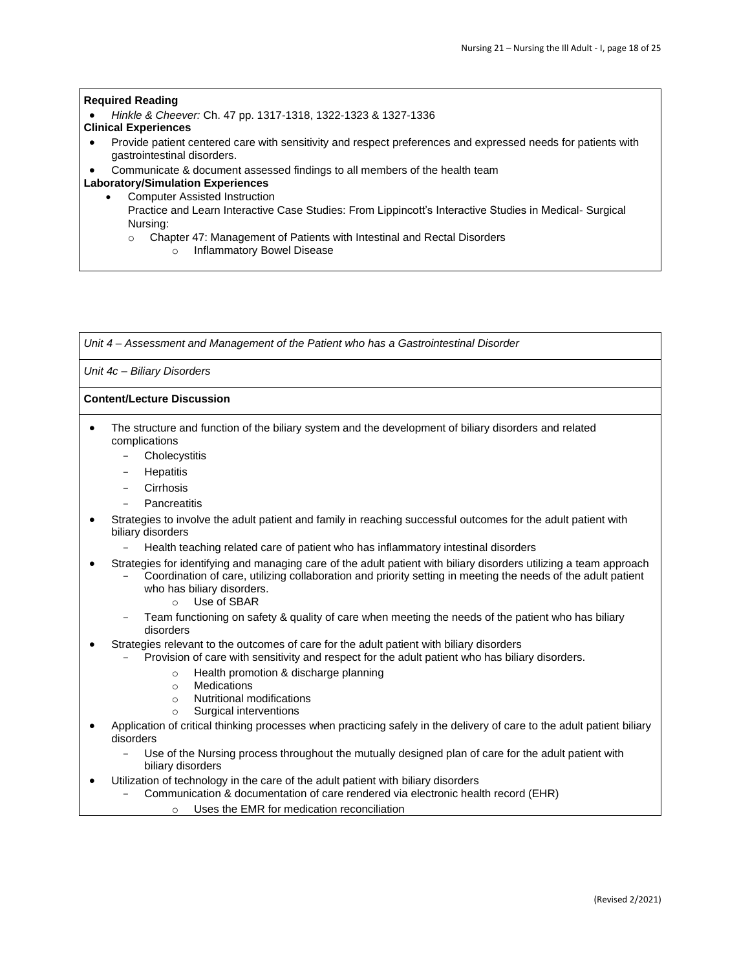• *Hinkle & Cheever:* Ch. 47 pp. 1317-1318, 1322-1323 & 1327-1336

#### **Clinical Experiences**

- Provide patient centered care with sensitivity and respect preferences and expressed needs for patients with gastrointestinal disorders.
- Communicate & document assessed findings to all members of the health team

# **Laboratory/Simulation Experiences**

- Computer Assisted Instruction
	- Practice and Learn Interactive Case Studies: From Lippincott's Interactive Studies in Medical- Surgical Nursing:
		- o Chapter 47: Management of Patients with Intestinal and Rectal Disorders
			- o Inflammatory Bowel Disease

*Unit 4 – Assessment and Management of the Patient who has a Gastrointestinal Disorder* 

# *Unit 4c – Biliary Disorders*

# **Content/Lecture Discussion**

- The structure and function of the biliary system and the development of biliary disorders and related complications
	- Cholecystitis
	- **Hepatitis**
	- **Cirrhosis**
	- **Pancreatitis**
- Strategies to involve the adult patient and family in reaching successful outcomes for the adult patient with biliary disorders
	- Health teaching related care of patient who has inflammatory intestinal disorders
- Strategies for identifying and managing care of the adult patient with biliary disorders utilizing a team approach
	- Coordination of care, utilizing collaboration and priority setting in meeting the needs of the adult patient who has biliary disorders.
		- o Use of SBAR
		- Team functioning on safety & quality of care when meeting the needs of the patient who has biliary disorders
	- Strategies relevant to the outcomes of care for the adult patient with biliary disorders
	- Provision of care with sensitivity and respect for the adult patient who has biliary disorders.
		- o Health promotion & discharge planning
		- o Medications
		- o Nutritional modifications
		- o Surgical interventions
- Application of critical thinking processes when practicing safely in the delivery of care to the adult patient biliary disorders
	- Use of the Nursing process throughout the mutually designed plan of care for the adult patient with biliary disorders
- Utilization of technology in the care of the adult patient with biliary disorders
	- Communication & documentation of care rendered via electronic health record (EHR)
		- o Uses the EMR for medication reconciliation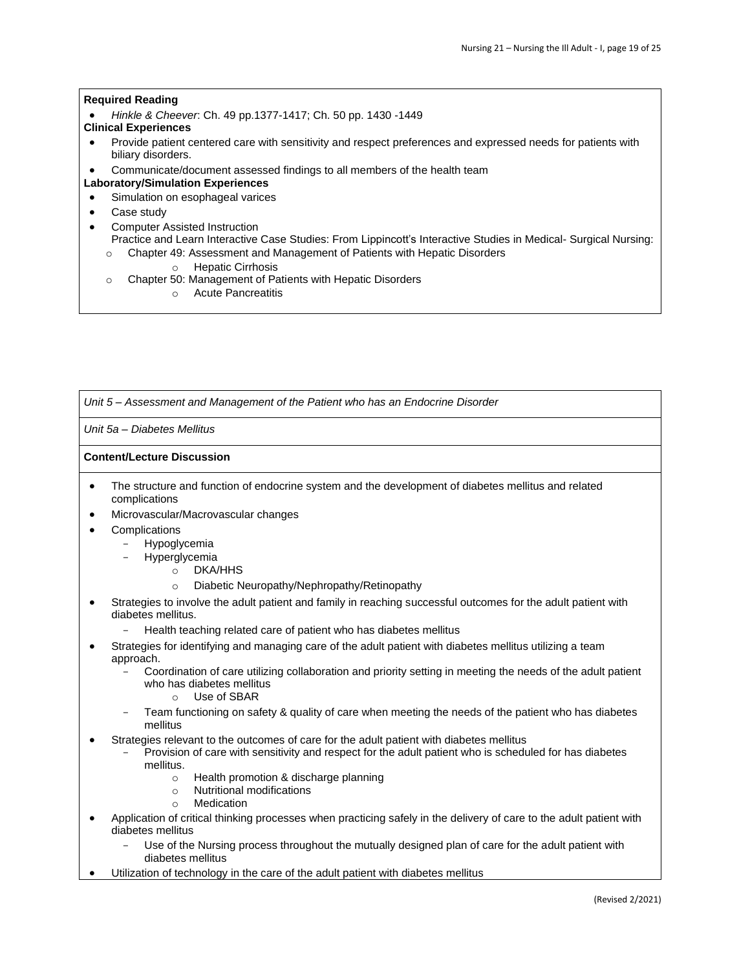• *Hinkle & Cheever*: Ch. 49 pp.1377-1417; Ch. 50 pp. 1430 -1449

# **Clinical Experiences**

- Provide patient centered care with sensitivity and respect preferences and expressed needs for patients with biliary disorders.
- Communicate/document assessed findings to all members of the health team
- **Laboratory/Simulation Experiences**
- Simulation on esophageal varices
- Case study
- Computer Assisted Instruction
	- Practice and Learn Interactive Case Studies: From Lippincott's Interactive Studies in Medical- Surgical Nursing: o Chapter 49: Assessment and Management of Patients with Hepatic Disorders
		- o Hepatic Cirrhosis
		- o Chapter 50: Management of Patients with Hepatic Disorders
			- o Acute Pancreatitis

*Unit 5 – Assessment and Management of the Patient who has an Endocrine Disorder* 

*Unit 5a – Diabetes Mellitus* 

# **Content/Lecture Discussion**

- The structure and function of endocrine system and the development of diabetes mellitus and related complications
- Microvascular/Macrovascular changes
- **Complications** 
	- **Hypoglycemia**
	- **Hyperglycemia** 
		- o DKA/HHS
		- o Diabetic Neuropathy/Nephropathy/Retinopathy
- Strategies to involve the adult patient and family in reaching successful outcomes for the adult patient with diabetes mellitus.
	- Health teaching related care of patient who has diabetes mellitus
- Strategies for identifying and managing care of the adult patient with diabetes mellitus utilizing a team approach.
	- Coordination of care utilizing collaboration and priority setting in meeting the needs of the adult patient who has diabetes mellitus
		- o Use of SBAR
	- Team functioning on safety & quality of care when meeting the needs of the patient who has diabetes mellitus
- Strategies relevant to the outcomes of care for the adult patient with diabetes mellitus
	- Provision of care with sensitivity and respect for the adult patient who is scheduled for has diabetes mellitus.
		- o Health promotion & discharge planning
		- o Nutritional modifications
		- o Medication
- Application of critical thinking processes when practicing safely in the delivery of care to the adult patient with diabetes mellitus
	- Use of the Nursing process throughout the mutually designed plan of care for the adult patient with diabetes mellitus
- Utilization of technology in the care of the adult patient with diabetes mellitus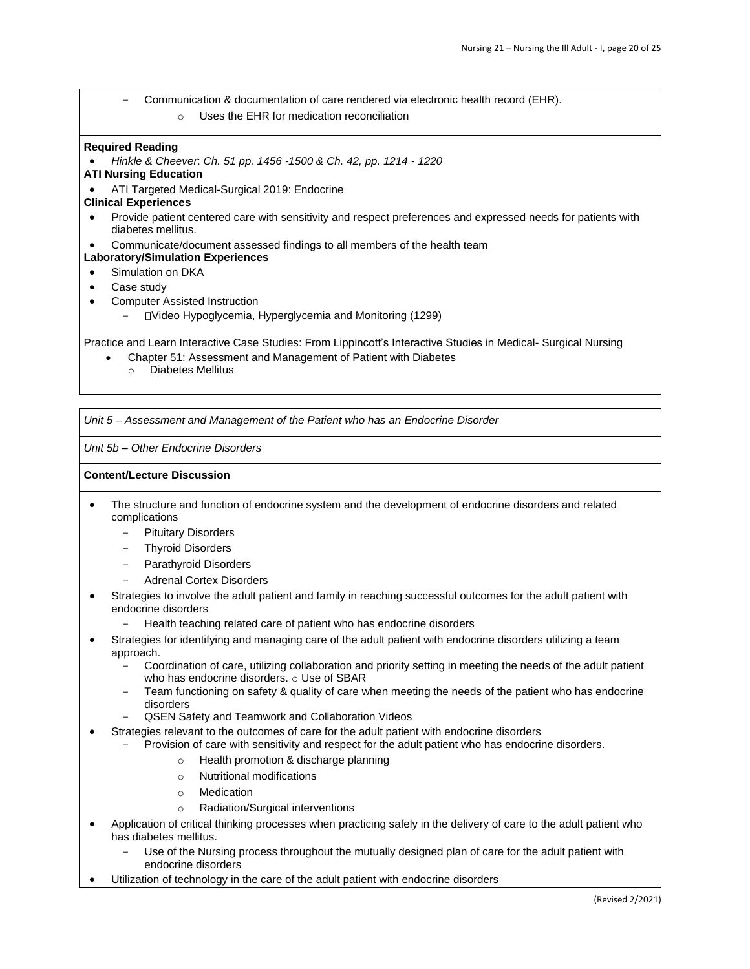- Communication & documentation of care rendered via electronic health record (EHR).
	- o Uses the EHR for medication reconciliation

• *Hinkle & Cheever*: *Ch. 51 pp. 1456 -1500 & Ch. 42, pp. 1214 - 1220*

- **ATI Nursing Education**
- ATI Targeted Medical-Surgical 2019: Endocrine

#### **Clinical Experiences**

- Provide patient centered care with sensitivity and respect preferences and expressed needs for patients with diabetes mellitus.
- Communicate/document assessed findings to all members of the health team
- **Laboratory/Simulation Experiences**
- Simulation on DKA
- Case study
- Computer Assisted Instruction
	- Video Hypoglycemia, Hyperglycemia and Monitoring (1299)

Practice and Learn Interactive Case Studies: From Lippincott's Interactive Studies in Medical- Surgical Nursing

- Chapter 51: Assessment and Management of Patient with Diabetes
- o Diabetes Mellitus

*Unit 5 – Assessment and Management of the Patient who has an Endocrine Disorder* 

*Unit 5b – Other Endocrine Disorders* 

#### **Content/Lecture Discussion**

- The structure and function of endocrine system and the development of endocrine disorders and related complications
	- Pituitary Disorders
	- Thyroid Disorders
	- Parathyroid Disorders
	- Adrenal Cortex Disorders
- Strategies to involve the adult patient and family in reaching successful outcomes for the adult patient with endocrine disorders
	- Health teaching related care of patient who has endocrine disorders
- Strategies for identifying and managing care of the adult patient with endocrine disorders utilizing a team approach.
	- Coordination of care, utilizing collaboration and priority setting in meeting the needs of the adult patient who has endocrine disorders. o Use of SBAR
	- Team functioning on safety & quality of care when meeting the needs of the patient who has endocrine disorders
	- QSEN Safety and Teamwork and Collaboration Videos
- Strategies relevant to the outcomes of care for the adult patient with endocrine disorders
	- Provision of care with sensitivity and respect for the adult patient who has endocrine disorders.
		- o Health promotion & discharge planning
		- o Nutritional modifications
		- o Medication
		- o Radiation/Surgical interventions
- Application of critical thinking processes when practicing safely in the delivery of care to the adult patient who has diabetes mellitus.
	- Use of the Nursing process throughout the mutually designed plan of care for the adult patient with endocrine disorders
- Utilization of technology in the care of the adult patient with endocrine disorders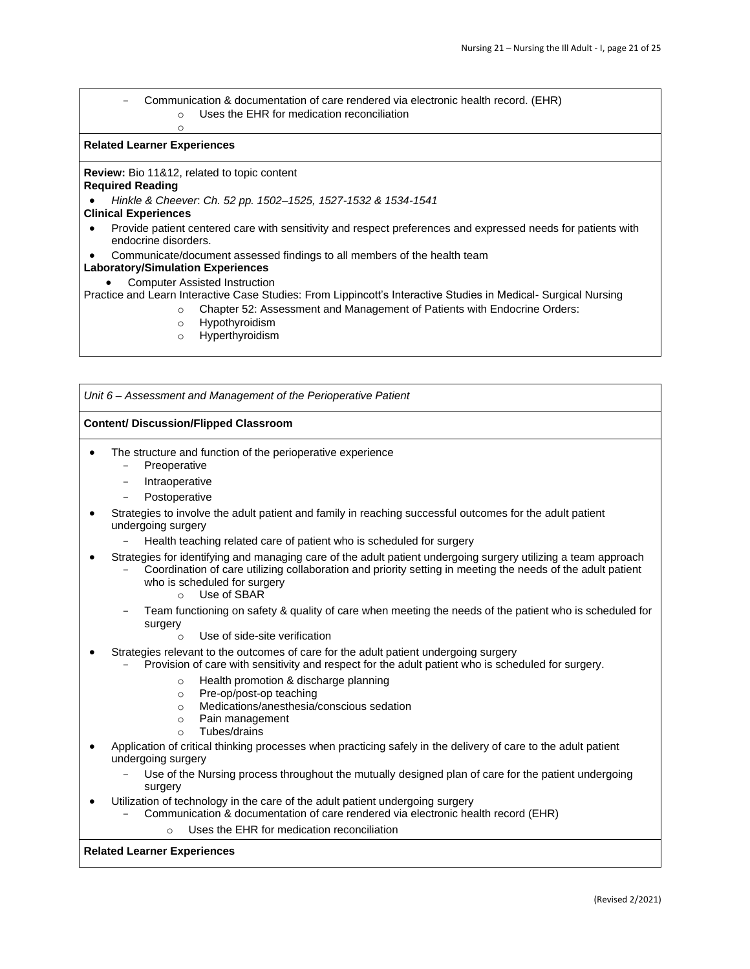- Communication & documentation of care rendered via electronic health record. (EHR) o Uses the EHR for medication reconciliation

### **Related Learner Experiences**

**Review:** Bio 11&12, related to topic content

o

# **Required Reading**

• *Hinkle & Cheever*: *Ch. 52 pp. 1502–1525, 1527-1532 & 1534-1541*

# **Clinical Experiences**

- Provide patient centered care with sensitivity and respect preferences and expressed needs for patients with endocrine disorders.
- Communicate/document assessed findings to all members of the health team

# **Laboratory/Simulation Experiences**

• Computer Assisted Instruction

Practice and Learn Interactive Case Studies: From Lippincott's Interactive Studies in Medical- Surgical Nursing

- o Chapter 52: Assessment and Management of Patients with Endocrine Orders:
- o Hypothyroidism
- o Hyperthyroidism

*Unit 6 – Assessment and Management of the Perioperative Patient* 

# **Content/ Discussion/Flipped Classroom**

- The structure and function of the perioperative experience
	- **Preoperative**
	- Intraoperative
	- Postoperative
- Strategies to involve the adult patient and family in reaching successful outcomes for the adult patient undergoing surgery
	- Health teaching related care of patient who is scheduled for surgery
- Strategies for identifying and managing care of the adult patient undergoing surgery utilizing a team approach
	- Coordination of care utilizing collaboration and priority setting in meeting the needs of the adult patient who is scheduled for surgery
		- o Use of SBAR
	- Team functioning on safety & quality of care when meeting the needs of the patient who is scheduled for surgery
		- o Use of side-site verification
- Strategies relevant to the outcomes of care for the adult patient undergoing surgery
	- Provision of care with sensitivity and respect for the adult patient who is scheduled for surgery.
		- o Health promotion & discharge planning
		- o Pre-op/post-op teaching
		- o Medications/anesthesia/conscious sedation
		- o Pain management
		- o Tubes/drains
- Application of critical thinking processes when practicing safely in the delivery of care to the adult patient undergoing surgery
	- Use of the Nursing process throughout the mutually designed plan of care for the patient undergoing surgery
	- Utilization of technology in the care of the adult patient undergoing surgery
		- Communication & documentation of care rendered via electronic health record (EHR)
			- o Uses the EHR for medication reconciliation

# **Related Learner Experiences**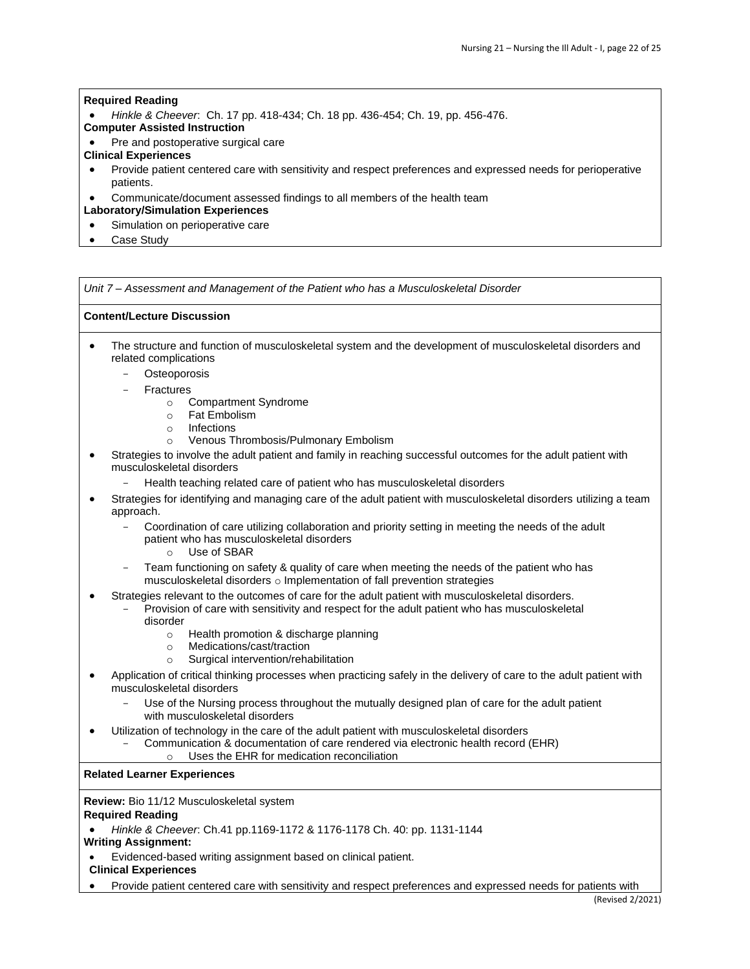• *Hinkle & Cheever*: Ch. 17 pp. 418-434; Ch. 18 pp. 436-454; Ch. 19, pp. 456-476.

# **Computer Assisted Instruction**

• Pre and postoperative surgical care

# **Clinical Experiences**

- Provide patient centered care with sensitivity and respect preferences and expressed needs for perioperative patients.
- Communicate/document assessed findings to all members of the health team

# **Laboratory/Simulation Experiences**

- Simulation on perioperative care
- Case Study

*Unit 7 – Assessment and Management of the Patient who has a Musculoskeletal Disorder* 

# **Content/Lecture Discussion**

- The structure and function of musculoskeletal system and the development of musculoskeletal disorders and related complications
	- **Osteoporosis**
	- **Fractures** 
		- o Compartment Syndrome
		- o Fat Embolism
		- o Infections
		- o Venous Thrombosis/Pulmonary Embolism
- Strategies to involve the adult patient and family in reaching successful outcomes for the adult patient with musculoskeletal disorders
	- Health teaching related care of patient who has musculoskeletal disorders
- Strategies for identifying and managing care of the adult patient with musculoskeletal disorders utilizing a team approach.
	- Coordination of care utilizing collaboration and priority setting in meeting the needs of the adult patient who has musculoskeletal disorders
		- o Use of SBAR
	- Team functioning on safety & quality of care when meeting the needs of the patient who has musculoskeletal disorders o Implementation of fall prevention strategies
- Strategies relevant to the outcomes of care for the adult patient with musculoskeletal disorders.
	- Provision of care with sensitivity and respect for the adult patient who has musculoskeletal disorder
		- o Health promotion & discharge planning
		- o Medications/cast/traction
		- o Surgical intervention/rehabilitation
- Application of critical thinking processes when practicing safely in the delivery of care to the adult patient with musculoskeletal disorders
	- Use of the Nursing process throughout the mutually designed plan of care for the adult patient with musculoskeletal disorders
- Utilization of technology in the care of the adult patient with musculoskeletal disorders
	- Communication & documentation of care rendered via electronic health record (EHR) o Uses the EHR for medication reconciliation

**Related Learner Experiences** 

**Review:** Bio 11/12 Musculoskeletal system **Required Reading** 

• *Hinkle & Cheever*: Ch.41 pp.1169-1172 & 1176-1178 Ch. 40: pp. 1131-1144

**Writing Assignment:** 

- Evidenced-based writing assignment based on clinical patient.
- **Clinical Experiences**
- Provide patient centered care with sensitivity and respect preferences and expressed needs for patients with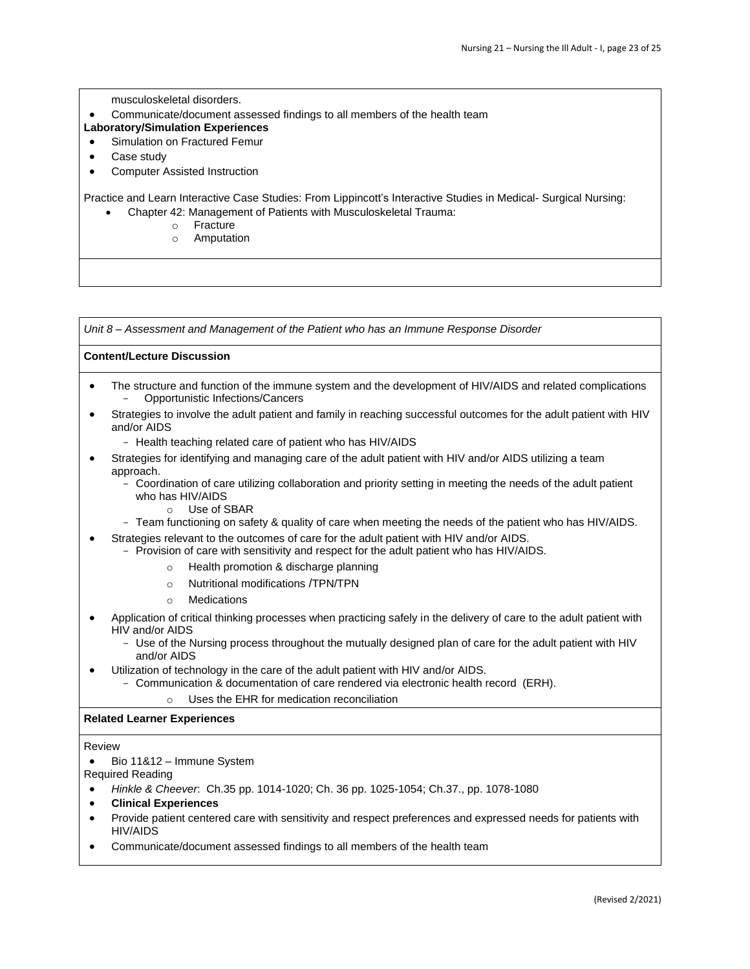musculoskeletal disorders.

- Communicate/document assessed findings to all members of the health team
- **Laboratory/Simulation Experiences**
- Simulation on Fractured Femur
- Case study
- Computer Assisted Instruction

Practice and Learn Interactive Case Studies: From Lippincott's Interactive Studies in Medical- Surgical Nursing:

- Chapter 42: Management of Patients with Musculoskeletal Trauma:
	- o Fracture
	- o Amputation

*Unit 8 – Assessment and Management of the Patient who has an Immune Response Disorder* 

# **Content/Lecture Discussion**

- The structure and function of the immune system and the development of HIV/AIDS and related complications - Opportunistic Infections/Cancers
- Strategies to involve the adult patient and family in reaching successful outcomes for the adult patient with HIV and/or AIDS
	- Health teaching related care of patient who has HIV/AIDS
- Strategies for identifying and managing care of the adult patient with HIV and/or AIDS utilizing a team approach.
	- Coordination of care utilizing collaboration and priority setting in meeting the needs of the adult patient who has HIV/AIDS
		- o Use of SBAR
	- Team functioning on safety & quality of care when meeting the needs of the patient who has HIV/AIDS.
- Strategies relevant to the outcomes of care for the adult patient with HIV and/or AIDS.
	- Provision of care with sensitivity and respect for the adult patient who has HIV/AIDS.
		- o Health promotion & discharge planning
		- o Nutritional modifications /TPN/TPN
		- o Medications
- Application of critical thinking processes when practicing safely in the delivery of care to the adult patient with HIV and/or AIDS
	- Use of the Nursing process throughout the mutually designed plan of care for the adult patient with HIV and/or AIDS
- Utilization of technology in the care of the adult patient with HIV and/or AIDS.
	- Communication & documentation of care rendered via electronic health record (ERH).
		- o Uses the EHR for medication reconciliation

#### **Related Learner Experiences**

Review

• Bio 11&12 – Immune System

Required Reading

- *Hinkle & Cheever*: Ch.35 pp. 1014-1020; Ch. 36 pp. 1025-1054; Ch.37., pp. 1078-1080
- **Clinical Experiences**
- Provide patient centered care with sensitivity and respect preferences and expressed needs for patients with HIV/AIDS
- Communicate/document assessed findings to all members of the health team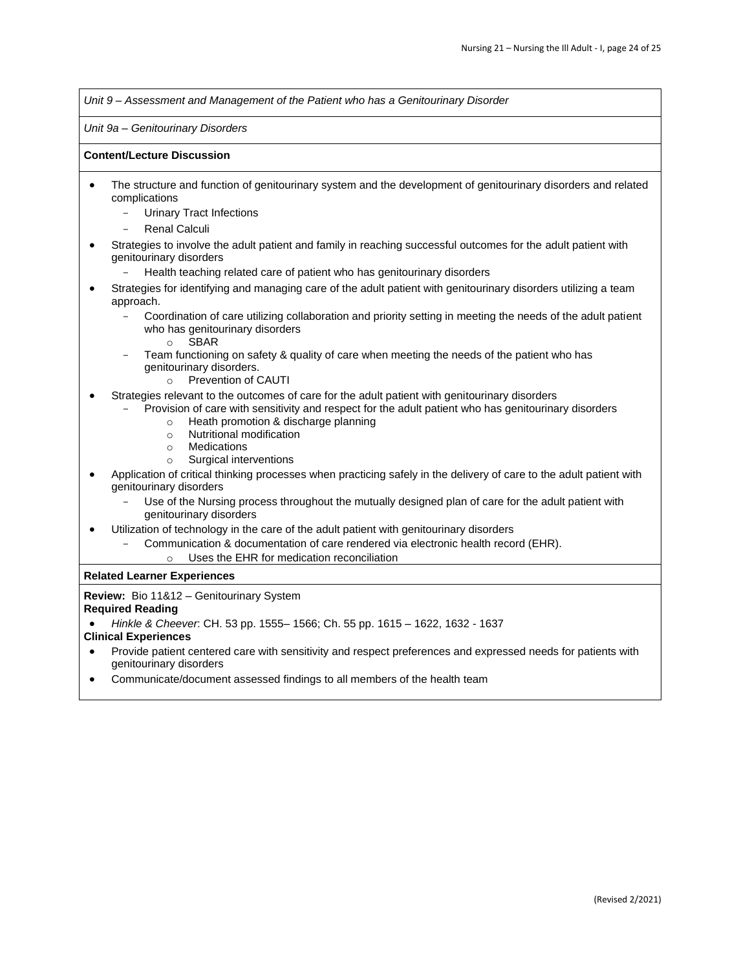*Unit 9 – Assessment and Management of the Patient who has a Genitourinary Disorder* 

*Unit 9a – Genitourinary Disorders* 

#### **Content/Lecture Discussion**

- The structure and function of genitourinary system and the development of genitourinary disorders and related complications
	- Urinary Tract Infections
	- Renal Calculi
- Strategies to involve the adult patient and family in reaching successful outcomes for the adult patient with genitourinary disorders
	- Health teaching related care of patient who has genitourinary disorders
- Strategies for identifying and managing care of the adult patient with genitourinary disorders utilizing a team approach.
	- Coordination of care utilizing collaboration and priority setting in meeting the needs of the adult patient who has genitourinary disorders
		- o SBAR
	- Team functioning on safety & quality of care when meeting the needs of the patient who has genitourinary disorders.
		- o Prevention of CAUTI
- Strategies relevant to the outcomes of care for the adult patient with genitourinary disorders
	- Provision of care with sensitivity and respect for the adult patient who has genitourinary disorders
		- o Heath promotion & discharge planning
		- o Nutritional modification
		- o Medications
		- o Surgical interventions
- Application of critical thinking processes when practicing safely in the delivery of care to the adult patient with genitourinary disorders
	- Use of the Nursing process throughout the mutually designed plan of care for the adult patient with genitourinary disorders
- Utilization of technology in the care of the adult patient with genitourinary disorders
	- Communication & documentation of care rendered via electronic health record (EHR).
		- o Uses the EHR for medication reconciliation

# **Related Learner Experiences**

**Review:** Bio 11&12 – Genitourinary System

# **Required Reading**

• *Hinkle & Cheever*: CH. 53 pp. 1555– 1566; Ch. 55 pp. 1615 – 1622, 1632 - 1637

# **Clinical Experiences**

- Provide patient centered care with sensitivity and respect preferences and expressed needs for patients with genitourinary disorders
- Communicate/document assessed findings to all members of the health team